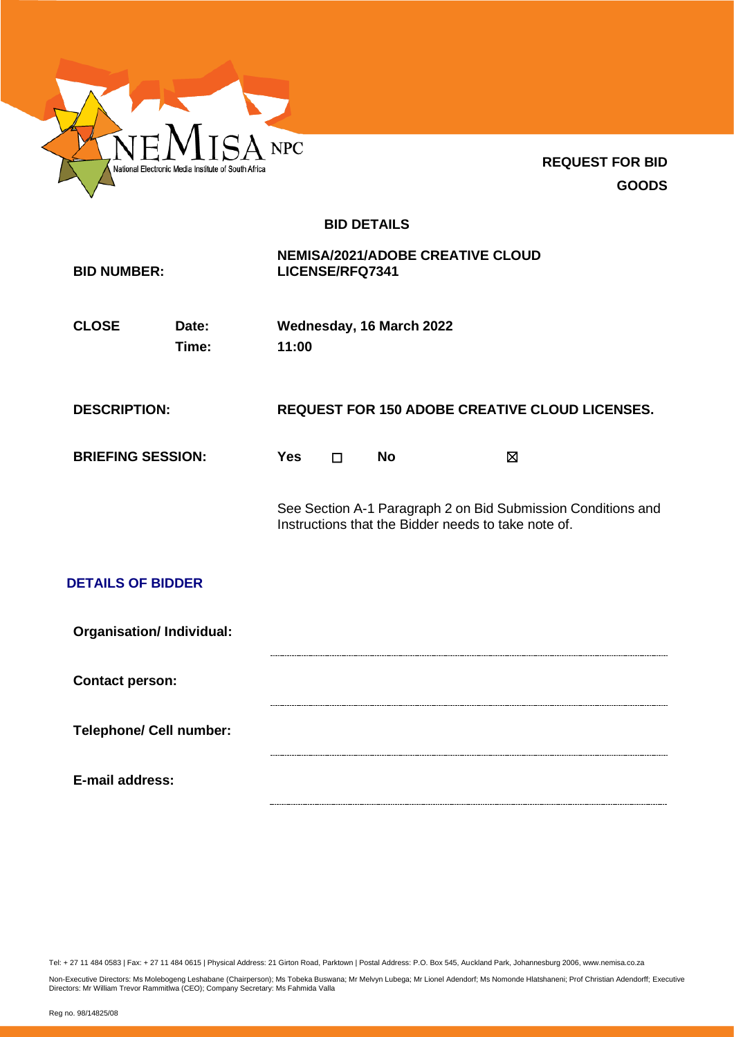

**REQUEST FOR BID GOODS**

# **BID DETAILS**

| <b>BID NUMBER:</b>             |                                 |            | <b>NEMISA/2021/ADOBE CREATIVE CLOUD</b><br>LICENSE/RFQ7341 |                          |                                                                                                                     |  |
|--------------------------------|---------------------------------|------------|------------------------------------------------------------|--------------------------|---------------------------------------------------------------------------------------------------------------------|--|
| <b>CLOSE</b>                   | Date:<br>Time:                  | 11:00      |                                                            | Wednesday, 16 March 2022 |                                                                                                                     |  |
| <b>DESCRIPTION:</b>            |                                 |            |                                                            |                          | <b>REQUEST FOR 150 ADOBE CREATIVE CLOUD LICENSES.</b>                                                               |  |
| <b>BRIEFING SESSION:</b>       |                                 | <b>Yes</b> | $\Box$                                                     | <b>No</b>                | $\boxtimes$                                                                                                         |  |
|                                |                                 |            |                                                            |                          | See Section A-1 Paragraph 2 on Bid Submission Conditions and<br>Instructions that the Bidder needs to take note of. |  |
| <b>DETAILS OF BIDDER</b>       |                                 |            |                                                            |                          |                                                                                                                     |  |
|                                | <b>Organisation/Individual:</b> |            |                                                            |                          |                                                                                                                     |  |
| <b>Contact person:</b>         |                                 |            |                                                            |                          |                                                                                                                     |  |
| <b>Telephone/ Cell number:</b> |                                 |            |                                                            |                          |                                                                                                                     |  |
| E-mail address:                |                                 |            |                                                            |                          |                                                                                                                     |  |

Tel: + 27 11 484 0583 | Fax: + 27 11 484 0615 | Physical Address: 21 Girton Road, Parktown | Postal Address: P.O. Box 545, Auckland Park, Johannesburg 2006, www.nemisa.co.za

Non-Executive Directors: Ms Molebogeng Leshabane (Chairperson); Ms Tobeka Buswana; Mr Melvyn Lubega; Mr Lionel Adendorf; Ms Nomonde Hlatshaneni; Prof Christian Adendorff; Executive<br>Directors: Mr William Trevor Rammitlwa (C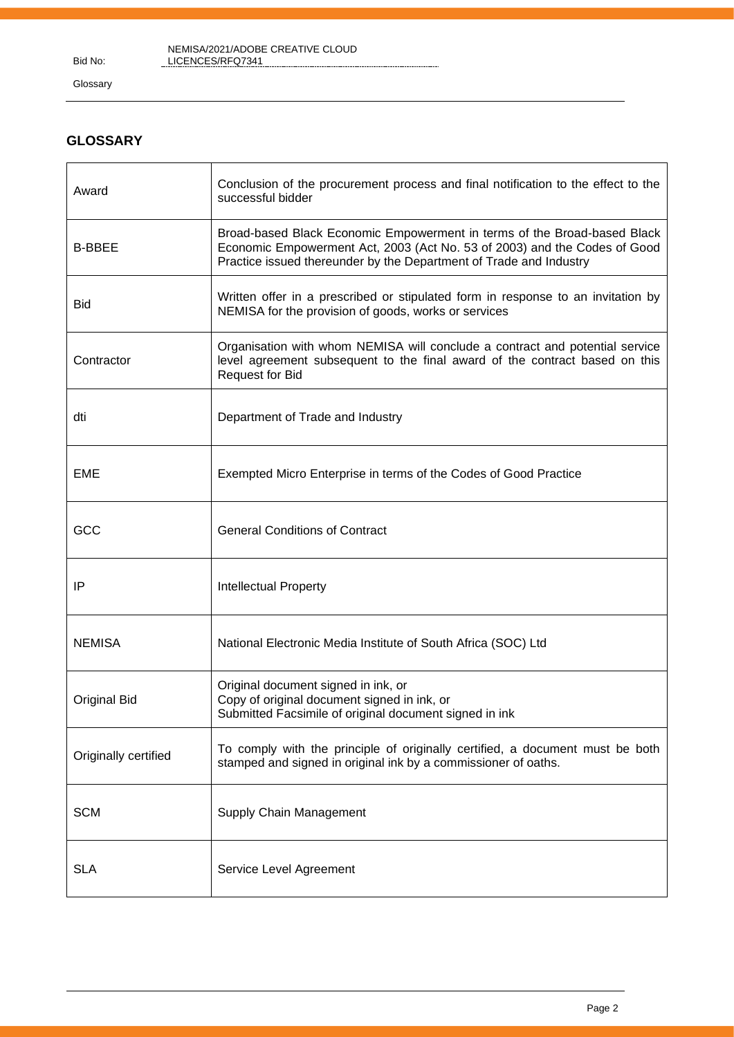Bid No:

NEMISA/2021/ADOBE CREATIVE CLOUD LICENCES/RFQ7341

Glossary

# **GLOSSARY**

| Award                | Conclusion of the procurement process and final notification to the effect to the<br>successful bidder                                                                                                                      |
|----------------------|-----------------------------------------------------------------------------------------------------------------------------------------------------------------------------------------------------------------------------|
| <b>B-BBEE</b>        | Broad-based Black Economic Empowerment in terms of the Broad-based Black<br>Economic Empowerment Act, 2003 (Act No. 53 of 2003) and the Codes of Good<br>Practice issued thereunder by the Department of Trade and Industry |
| <b>Bid</b>           | Written offer in a prescribed or stipulated form in response to an invitation by<br>NEMISA for the provision of goods, works or services                                                                                    |
| Contractor           | Organisation with whom NEMISA will conclude a contract and potential service<br>level agreement subsequent to the final award of the contract based on this<br><b>Request for Bid</b>                                       |
| dti                  | Department of Trade and Industry                                                                                                                                                                                            |
| <b>EME</b>           | Exempted Micro Enterprise in terms of the Codes of Good Practice                                                                                                                                                            |
| GCC                  | <b>General Conditions of Contract</b>                                                                                                                                                                                       |
| ΙP                   | Intellectual Property                                                                                                                                                                                                       |
| <b>NEMISA</b>        | National Electronic Media Institute of South Africa (SOC) Ltd                                                                                                                                                               |
| <b>Original Bid</b>  | Original document signed in ink, or<br>Copy of original document signed in ink, or<br>Submitted Facsimile of original document signed in ink                                                                                |
| Originally certified | To comply with the principle of originally certified, a document must be both<br>stamped and signed in original ink by a commissioner of oaths.                                                                             |
| <b>SCM</b>           | Supply Chain Management                                                                                                                                                                                                     |
| <b>SLA</b>           | Service Level Agreement                                                                                                                                                                                                     |

. . . . . . . . . . . . . . . . . .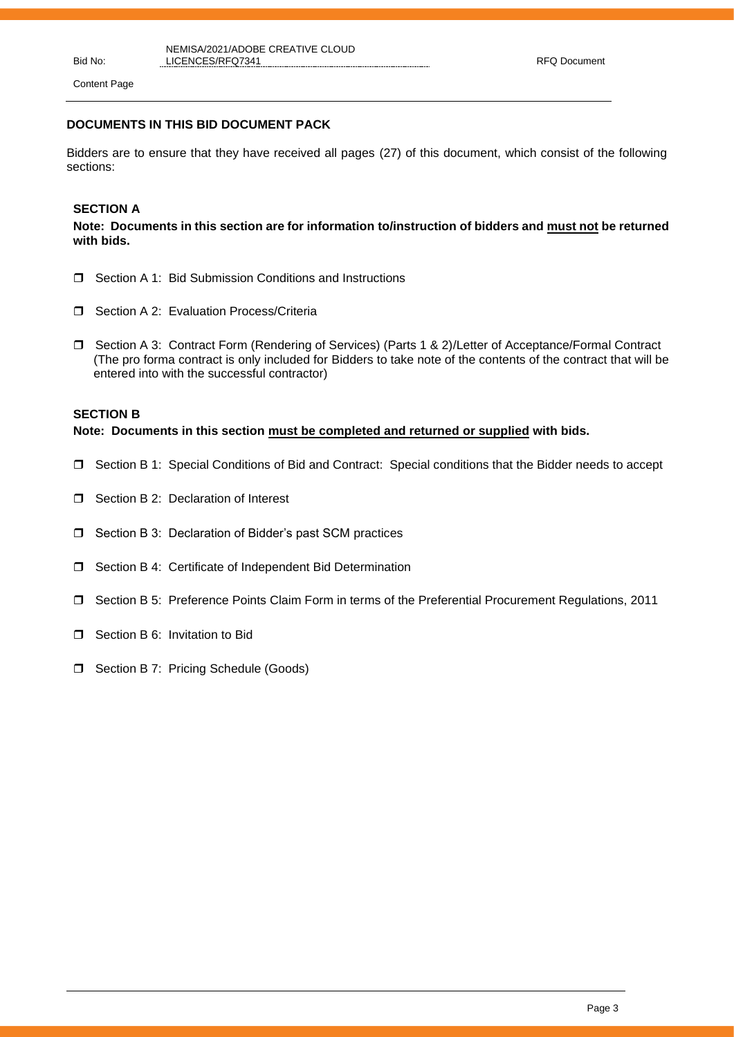Content Page

## **DOCUMENTS IN THIS BID DOCUMENT PACK**

Bidders are to ensure that they have received all pages (27) of this document, which consist of the following sections:

## **SECTION A**

**Note: Documents in this section are for information to/instruction of bidders and must not be returned with bids.**

- □ Section A 1: Bid Submission Conditions and Instructions
- □ Section A 2: Evaluation Process/Criteria
- □ Section A 3: Contract Form (Rendering of Services) (Parts 1 & 2)/Letter of Acceptance/Formal Contract (The pro forma contract is only included for Bidders to take note of the contents of the contract that will be entered into with the successful contractor)

## **SECTION B**

**Note: Documents in this section must be completed and returned or supplied with bids.**

- Section B 1: Special Conditions of Bid and Contract: Special conditions that the Bidder needs to accept
- □ Section B 2: Declaration of Interest
- □ Section B 3: Declaration of Bidder's past SCM practices
- □ Section B 4: Certificate of Independent Bid Determination
- Section B 5: Preference Points Claim Form in terms of the Preferential Procurement Regulations, 2011
- **D** Section B 6: Invitation to Bid
- **D** Section B 7: Pricing Schedule (Goods)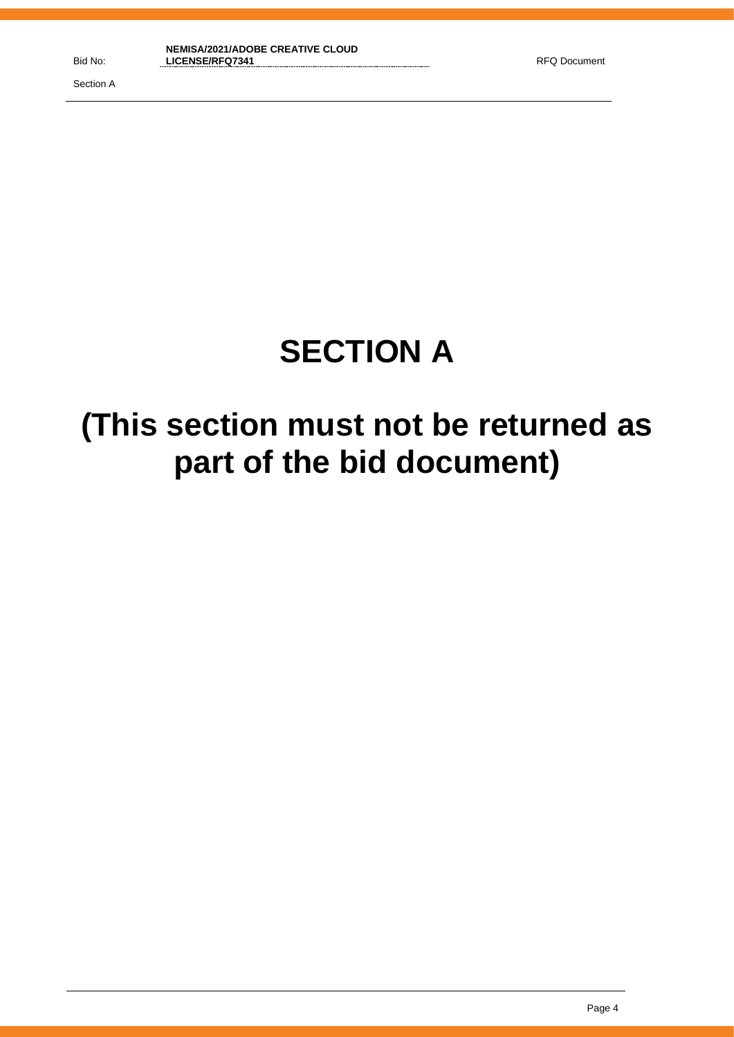# **SECTION A**

# **(This section must not be returned as part of the bid document)**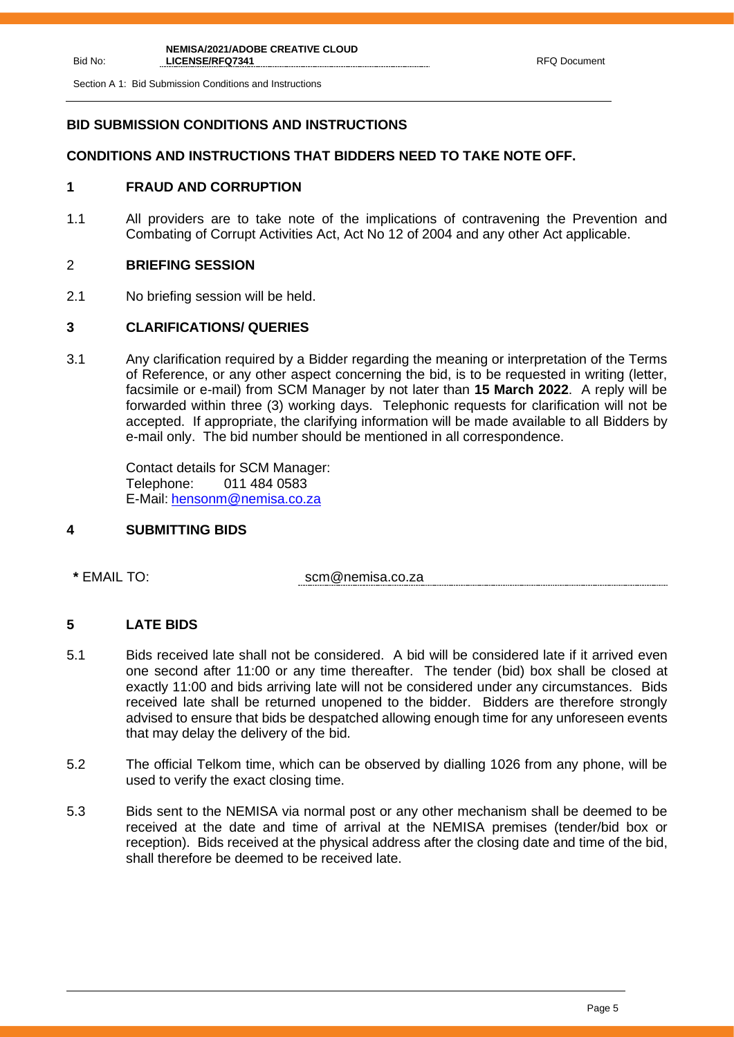Section A 1: Bid Submission Conditions and Instructions

# **BID SUBMISSION CONDITIONS AND INSTRUCTIONS**

# **CONDITIONS AND INSTRUCTIONS THAT BIDDERS NEED TO TAKE NOTE OFF.**

# **1 FRAUD AND CORRUPTION**

1.1 All providers are to take note of the implications of contravening the Prevention and Combating of Corrupt Activities Act, Act No 12 of 2004 and any other Act applicable.

# 2 **BRIEFING SESSION**

2.1 No briefing session will be held.

# **3 CLARIFICATIONS/ QUERIES**

3.1 Any clarification required by a Bidder regarding the meaning or interpretation of the Terms of Reference, or any other aspect concerning the bid, is to be requested in writing (letter, facsimile or e-mail) from SCM Manager by not later than **15 March 2022**. A reply will be forwarded within three (3) working days. Telephonic requests for clarification will not be accepted. If appropriate, the clarifying information will be made available to all Bidders by e-mail only. The bid number should be mentioned in all correspondence.

Contact details for SCM Manager: Telephone: 011 484 0583 E-Mail: [hensonm@nemisa.co.za](mailto:hensonm@nemisa.co.za)

## **4 SUBMITTING BIDS**

**\*** EMAIL TO: scm@nemisa.co.za

# **5 LATE BIDS**

- 5.1 Bids received late shall not be considered. A bid will be considered late if it arrived even one second after 11:00 or any time thereafter. The tender (bid) box shall be closed at exactly 11:00 and bids arriving late will not be considered under any circumstances. Bids received late shall be returned unopened to the bidder. Bidders are therefore strongly advised to ensure that bids be despatched allowing enough time for any unforeseen events that may delay the delivery of the bid.
- 5.2 The official Telkom time, which can be observed by dialling 1026 from any phone, will be used to verify the exact closing time.
- 5.3 Bids sent to the NEMISA via normal post or any other mechanism shall be deemed to be received at the date and time of arrival at the NEMISA premises (tender/bid box or reception). Bids received at the physical address after the closing date and time of the bid, shall therefore be deemed to be received late.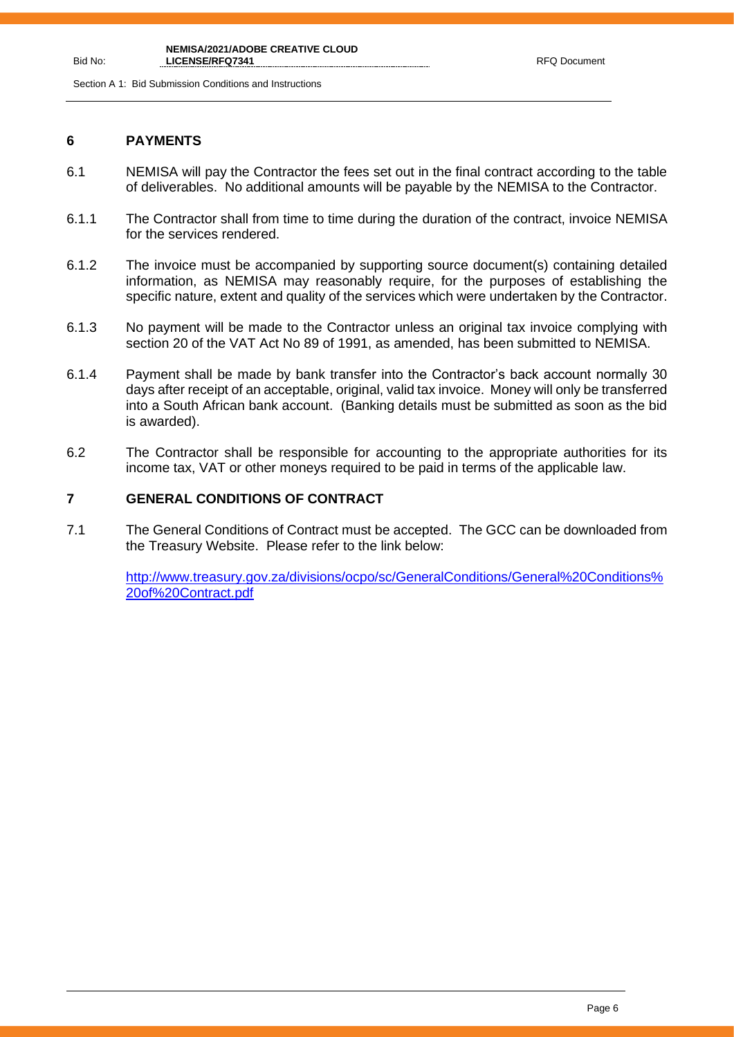Section A 1: Bid Submission Conditions and Instructions

## **6 PAYMENTS**

- 6.1 NEMISA will pay the Contractor the fees set out in the final contract according to the table of deliverables. No additional amounts will be payable by the NEMISA to the Contractor.
- 6.1.1 The Contractor shall from time to time during the duration of the contract, invoice NEMISA for the services rendered.
- 6.1.2 The invoice must be accompanied by supporting source document(s) containing detailed information, as NEMISA may reasonably require, for the purposes of establishing the specific nature, extent and quality of the services which were undertaken by the Contractor.
- 6.1.3 No payment will be made to the Contractor unless an original tax invoice complying with section 20 of the VAT Act No 89 of 1991, as amended, has been submitted to NEMISA.
- 6.1.4 Payment shall be made by bank transfer into the Contractor's back account normally 30 days after receipt of an acceptable, original, valid tax invoice. Money will only be transferred into a South African bank account. (Banking details must be submitted as soon as the bid is awarded).
- 6.2 The Contractor shall be responsible for accounting to the appropriate authorities for its income tax, VAT or other moneys required to be paid in terms of the applicable law.

# **7 GENERAL CONDITIONS OF CONTRACT**

7.1 The General Conditions of Contract must be accepted. The GCC can be downloaded from the Treasury Website. Please refer to the link below:

[http://www.treasury.gov.za/divisions/ocpo/sc/GeneralConditions/General%20Conditions%](http://www.treasury.gov.za/divisions/ocpo/sc/GeneralConditions/General%20Conditions%20of%20Contract.pdf) [20of%20Contract.pdf](http://www.treasury.gov.za/divisions/ocpo/sc/GeneralConditions/General%20Conditions%20of%20Contract.pdf)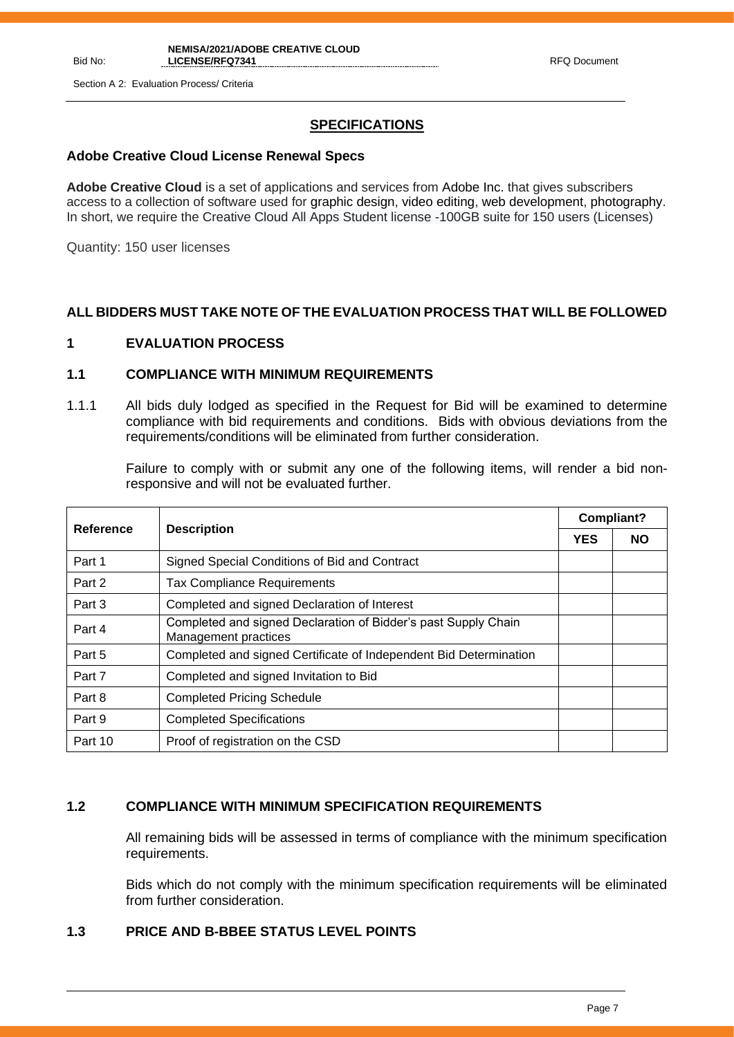Section A 2: Evaluation Process/ Criteria

# **SPECIFICATIONS**

## **Adobe Creative Cloud License Renewal Specs**

**Adobe Creative Cloud** is a set of applications and services from Adobe Inc. that gives subscribers access to a collection of software used for graphic design, video editing, web development, photography. In short, we require the Creative Cloud All Apps Student license -100GB suite for 150 users (Licenses)

Quantity: 150 user licenses

# **ALL BIDDERS MUST TAKE NOTE OF THE EVALUATION PROCESS THAT WILL BE FOLLOWED**

# **1 EVALUATION PROCESS**

## **1.1 COMPLIANCE WITH MINIMUM REQUIREMENTS**

1.1.1 All bids duly lodged as specified in the Request for Bid will be examined to determine compliance with bid requirements and conditions. Bids with obvious deviations from the requirements/conditions will be eliminated from further consideration.

Failure to comply with or submit any one of the following items, will render a bid nonresponsive and will not be evaluated further.

| Reference | <b>Description</b>                                                                     |  | <b>Compliant?</b> |  |
|-----------|----------------------------------------------------------------------------------------|--|-------------------|--|
|           |                                                                                        |  | <b>NO</b>         |  |
| Part 1    | Signed Special Conditions of Bid and Contract                                          |  |                   |  |
| Part 2    | <b>Tax Compliance Requirements</b>                                                     |  |                   |  |
| Part 3    | Completed and signed Declaration of Interest                                           |  |                   |  |
| Part 4    | Completed and signed Declaration of Bidder's past Supply Chain<br>Management practices |  |                   |  |
| Part 5    | Completed and signed Certificate of Independent Bid Determination                      |  |                   |  |
| Part 7    | Completed and signed Invitation to Bid                                                 |  |                   |  |
| Part 8    | <b>Completed Pricing Schedule</b>                                                      |  |                   |  |
| Part 9    | <b>Completed Specifications</b>                                                        |  |                   |  |
| Part 10   | Proof of registration on the CSD                                                       |  |                   |  |

## **1.2 COMPLIANCE WITH MINIMUM SPECIFICATION REQUIREMENTS**

All remaining bids will be assessed in terms of compliance with the minimum specification requirements.

Bids which do not comply with the minimum specification requirements will be eliminated from further consideration.

# **1.3 PRICE AND B-BBEE STATUS LEVEL POINTS**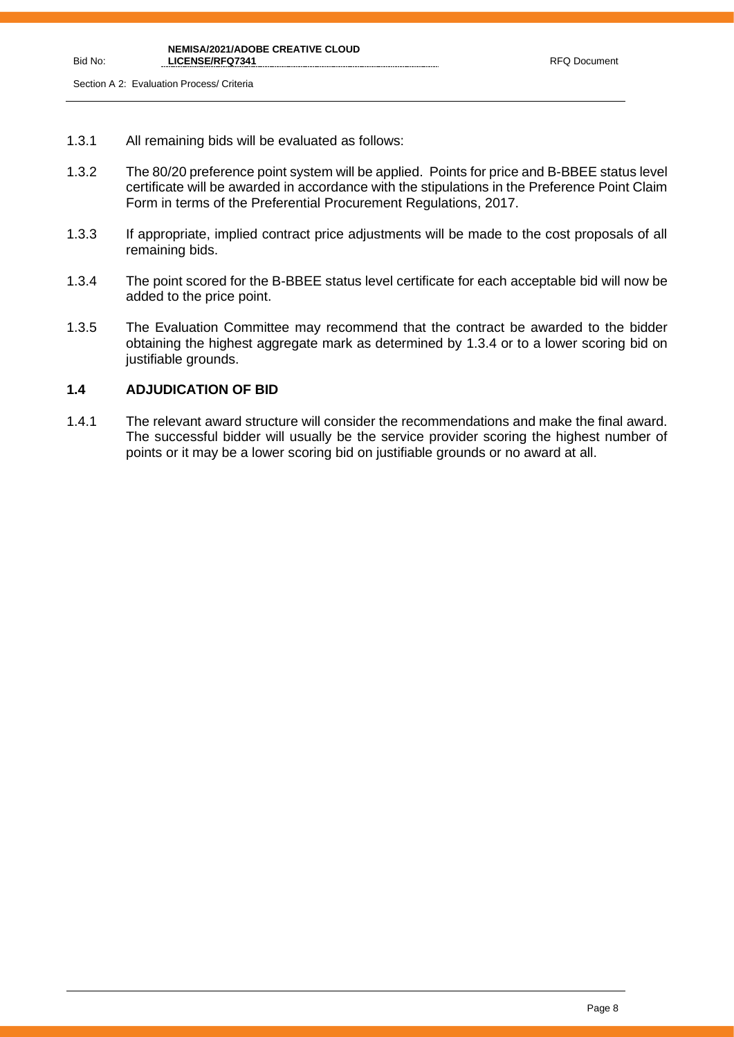- 1.3.1 All remaining bids will be evaluated as follows:
- 1.3.2 The 80/20 preference point system will be applied. Points for price and B-BBEE status level certificate will be awarded in accordance with the stipulations in the Preference Point Claim Form in terms of the Preferential Procurement Regulations, 2017.
- 1.3.3 If appropriate, implied contract price adjustments will be made to the cost proposals of all remaining bids.
- 1.3.4 The point scored for the B-BBEE status level certificate for each acceptable bid will now be added to the price point.
- 1.3.5 The Evaluation Committee may recommend that the contract be awarded to the bidder obtaining the highest aggregate mark as determined by 1.3.4 or to a lower scoring bid on justifiable grounds.

# **1.4 ADJUDICATION OF BID**

1.4.1 The relevant award structure will consider the recommendations and make the final award. The successful bidder will usually be the service provider scoring the highest number of points or it may be a lower scoring bid on justifiable grounds or no award at all.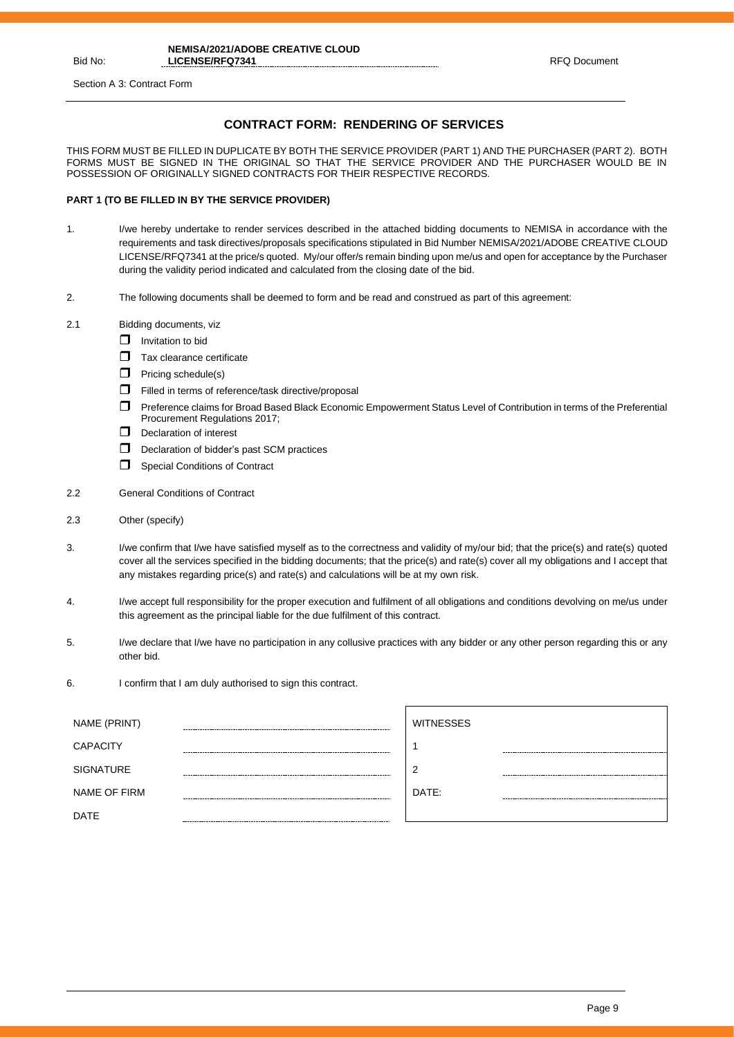Section A 3: Contract Form

## **CONTRACT FORM: RENDERING OF SERVICES**

THIS FORM MUST BE FILLED IN DUPLICATE BY BOTH THE SERVICE PROVIDER (PART 1) AND THE PURCHASER (PART 2). BOTH FORMS MUST BE SIGNED IN THE ORIGINAL SO THAT THE SERVICE PROVIDER AND THE PURCHASER WOULD BE IN POSSESSION OF ORIGINALLY SIGNED CONTRACTS FOR THEIR RESPECTIVE RECORDS.

### **PART 1 (TO BE FILLED IN BY THE SERVICE PROVIDER)**

- 1. I/we hereby undertake to render services described in the attached bidding documents to NEMISA in accordance with the requirements and task directives/proposals specifications stipulated in Bid Number NEMISA/2021/ADOBE CREATIVE CLOUD LICENSE/RFQ7341 at the price/s quoted. My/our offer/s remain binding upon me/us and open for acceptance by the Purchaser during the validity period indicated and calculated from the closing date of the bid.
- 2. The following documents shall be deemed to form and be read and construed as part of this agreement:
- 2.1 Bidding documents, viz
	- $\Box$  Invitation to bid
	- Tax clearance certificate
	- $\Box$  Pricing schedule(s)
	- $\Box$  Filled in terms of reference/task directive/proposal
	- Preference claims for Broad Based Black Economic Empowerment Status Level of Contribution in terms of the Preferential Procurement Regulations 2017;
	- $\Box$  Declaration of interest
	- D Declaration of bidder's past SCM practices
	- Special Conditions of Contract
- 2.2 General Conditions of Contract
- 2.3 Other (specify)
- 3. I/we confirm that I/we have satisfied myself as to the correctness and validity of my/our bid; that the price(s) and rate(s) quoted cover all the services specified in the bidding documents; that the price(s) and rate(s) cover all my obligations and I accept that any mistakes regarding price(s) and rate(s) and calculations will be at my own risk.
- 4. I/we accept full responsibility for the proper execution and fulfilment of all obligations and conditions devolving on me/us under this agreement as the principal liable for the due fulfilment of this contract.
- 5. I/we declare that I/we have no participation in any collusive practices with any bidder or any other person regarding this or any other bid.
- 6. I confirm that I am duly authorised to sign this contract.

| NAME (PRINT)     | <b>WITNESSES</b> |  |
|------------------|------------------|--|
| <b>CAPACITY</b>  |                  |  |
| <b>SIGNATURE</b> | $\epsilon$       |  |
| NAME OF FIRM     | DATE:            |  |
| <b>DATE</b>      |                  |  |
|                  |                  |  |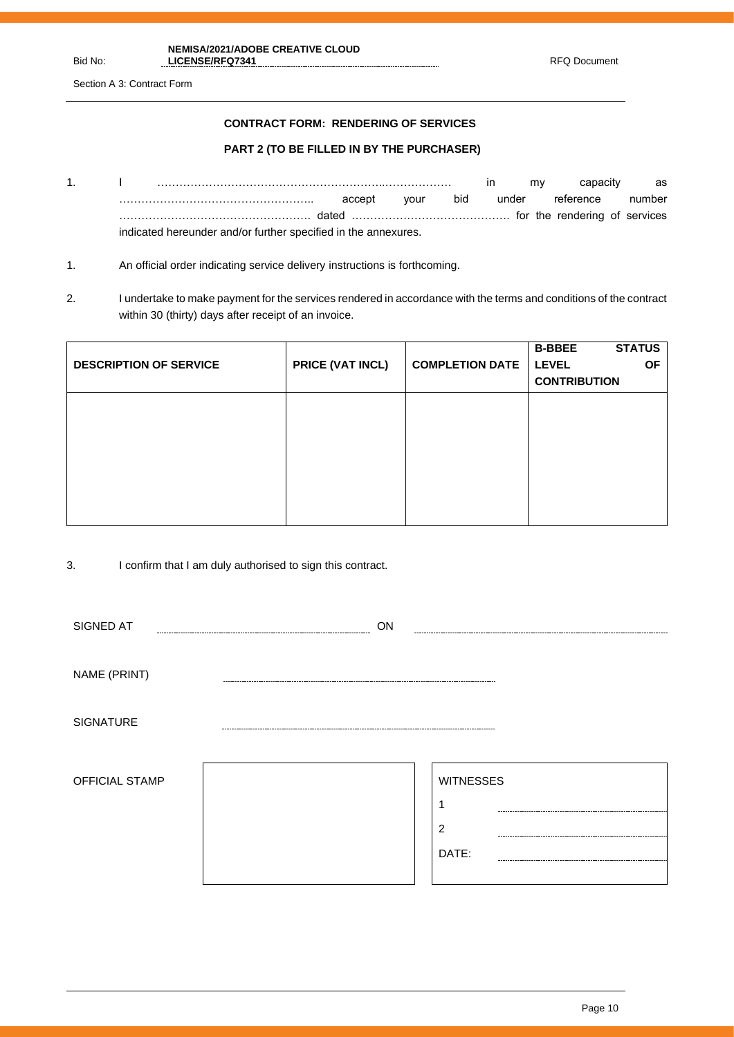Section A 3: Contract Form

## **CONTRACT FORM: RENDERING OF SERVICES**

## **PART 2 (TO BE FILLED IN BY THE PURCHASER)**

- 1. I ……………………………………………………..……………… in my capacity as …………………………………………….. accept your bid under reference number ……………………………………………. dated ……………………………………. for the rendering of services indicated hereunder and/or further specified in the annexures.
- 1. An official order indicating service delivery instructions is forthcoming.
- 2. I undertake to make payment for the services rendered in accordance with the terms and conditions of the contract within 30 (thirty) days after receipt of an invoice.

| <b>DESCRIPTION OF SERVICE</b> | PRICE (VAT INCL) | <b>COMPLETION DATE</b> | <b>STATUS</b><br><b>B-BBEE</b><br><b>LEVEL</b><br><b>OF</b><br><b>CONTRIBUTION</b> |
|-------------------------------|------------------|------------------------|------------------------------------------------------------------------------------|
|                               |                  |                        |                                                                                    |
|                               |                  |                        |                                                                                    |
|                               |                  |                        |                                                                                    |

3. I confirm that I am duly authorised to sign this contract.

| SIGNED AT        | ON                   |                                |
|------------------|----------------------|--------------------------------|
| NAME (PRINT)     |                      |                                |
| <b>SIGNATURE</b> | -------------------- |                                |
| OFFICIAL STAMP   |                      | <b>WITNESSES</b><br>2<br>DATE: |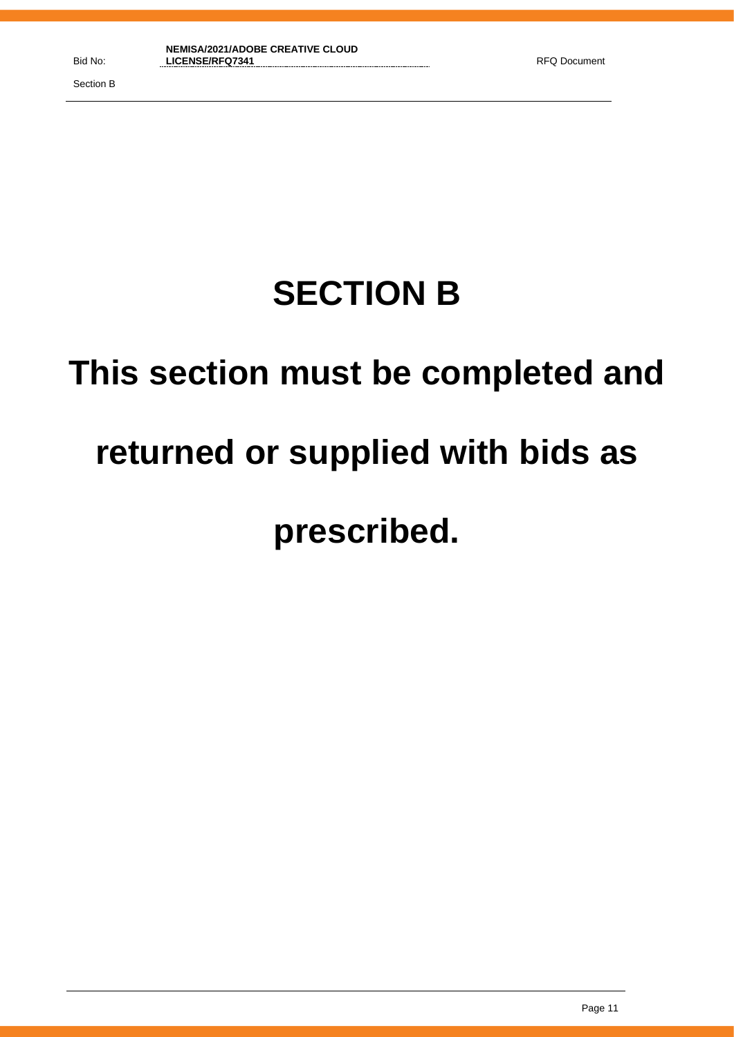Section B

# **SECTION B**

# **This section must be completed and**

# **returned or supplied with bids as**

# **prescribed.**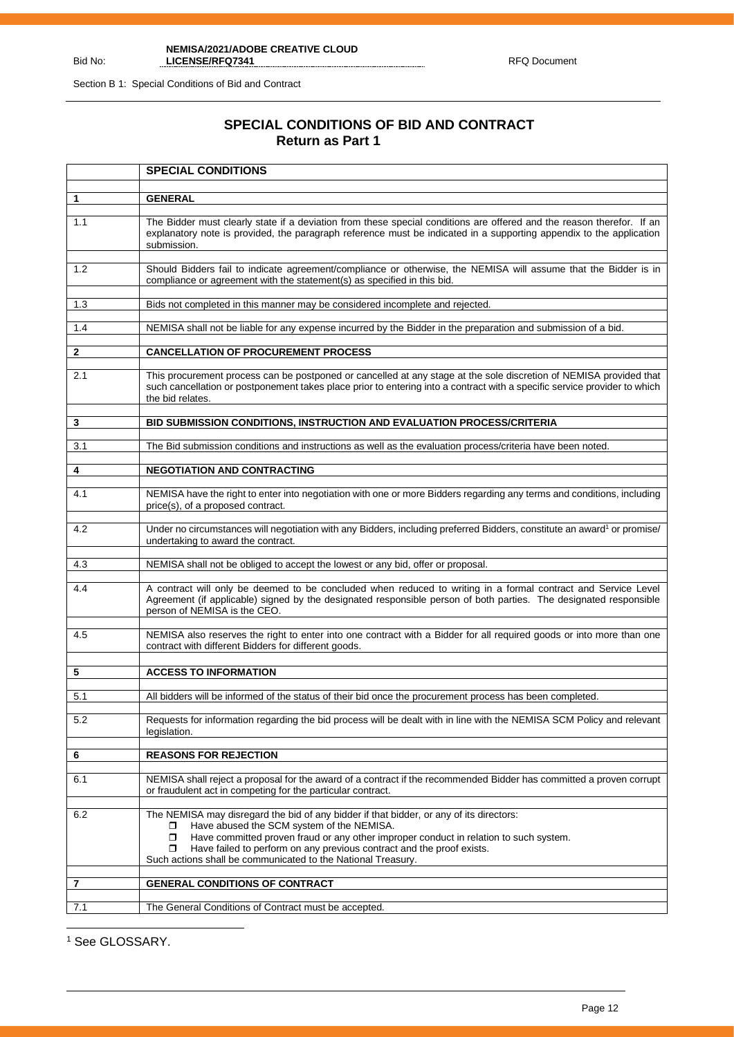Section B 1: Special Conditions of Bid and Contract

Bid No:

# **SPECIAL CONDITIONS OF BID AND CONTRACT Return as Part 1**

|              | <b>SPECIAL CONDITIONS</b>                                                                                                                                                                                                                                                                                                                                                                        |  |  |  |
|--------------|--------------------------------------------------------------------------------------------------------------------------------------------------------------------------------------------------------------------------------------------------------------------------------------------------------------------------------------------------------------------------------------------------|--|--|--|
|              | <b>GENERAL</b>                                                                                                                                                                                                                                                                                                                                                                                   |  |  |  |
| 1            |                                                                                                                                                                                                                                                                                                                                                                                                  |  |  |  |
| 1.1          | The Bidder must clearly state if a deviation from these special conditions are offered and the reason therefor. If an<br>explanatory note is provided, the paragraph reference must be indicated in a supporting appendix to the application<br>submission.                                                                                                                                      |  |  |  |
| 1.2          | Should Bidders fail to indicate agreement/compliance or otherwise, the NEMISA will assume that the Bidder is in<br>compliance or agreement with the statement(s) as specified in this bid.                                                                                                                                                                                                       |  |  |  |
| 1.3          | Bids not completed in this manner may be considered incomplete and rejected.                                                                                                                                                                                                                                                                                                                     |  |  |  |
| 1.4          | NEMISA shall not be liable for any expense incurred by the Bidder in the preparation and submission of a bid.                                                                                                                                                                                                                                                                                    |  |  |  |
| $\mathbf{2}$ | <b>CANCELLATION OF PROCUREMENT PROCESS</b>                                                                                                                                                                                                                                                                                                                                                       |  |  |  |
| 2.1          | This procurement process can be postponed or cancelled at any stage at the sole discretion of NEMISA provided that<br>such cancellation or postponement takes place prior to entering into a contract with a specific service provider to which<br>the bid relates.                                                                                                                              |  |  |  |
| 3            | BID SUBMISSION CONDITIONS, INSTRUCTION AND EVALUATION PROCESS/CRITERIA                                                                                                                                                                                                                                                                                                                           |  |  |  |
|              |                                                                                                                                                                                                                                                                                                                                                                                                  |  |  |  |
| 3.1          | The Bid submission conditions and instructions as well as the evaluation process/criteria have been noted.                                                                                                                                                                                                                                                                                       |  |  |  |
| 4            | <b>NEGOTIATION AND CONTRACTING</b>                                                                                                                                                                                                                                                                                                                                                               |  |  |  |
| 4.1          | NEMISA have the right to enter into negotiation with one or more Bidders regarding any terms and conditions, including<br>price(s), of a proposed contract.                                                                                                                                                                                                                                      |  |  |  |
| 4.2          | Under no circumstances will negotiation with any Bidders, including preferred Bidders, constitute an award <sup>1</sup> or promise/<br>undertaking to award the contract.                                                                                                                                                                                                                        |  |  |  |
| 4.3          | NEMISA shall not be obliged to accept the lowest or any bid, offer or proposal.                                                                                                                                                                                                                                                                                                                  |  |  |  |
|              |                                                                                                                                                                                                                                                                                                                                                                                                  |  |  |  |
| 4.4          | A contract will only be deemed to be concluded when reduced to writing in a formal contract and Service Level<br>Agreement (if applicable) signed by the designated responsible person of both parties. The designated responsible<br>person of NEMISA is the CEO.                                                                                                                               |  |  |  |
| 4.5          | NEMISA also reserves the right to enter into one contract with a Bidder for all required goods or into more than one<br>contract with different Bidders for different goods.                                                                                                                                                                                                                     |  |  |  |
| 5            | <b>ACCESS TO INFORMATION</b>                                                                                                                                                                                                                                                                                                                                                                     |  |  |  |
|              |                                                                                                                                                                                                                                                                                                                                                                                                  |  |  |  |
| 5.1          | All bidders will be informed of the status of their bid once the procurement process has been completed.                                                                                                                                                                                                                                                                                         |  |  |  |
| 5.2          | Requests for information regarding the bid process will be dealt with in line with the NEMISA SCM Policy and relevant<br>legislation.                                                                                                                                                                                                                                                            |  |  |  |
| 6            | <b>REASONS FOR REJECTION</b>                                                                                                                                                                                                                                                                                                                                                                     |  |  |  |
|              | NEMISA shall reject a proposal for the award of a contract if the recommended Bidder has committed a proven corrupt                                                                                                                                                                                                                                                                              |  |  |  |
| 6.1          | or fraudulent act in competing for the particular contract.                                                                                                                                                                                                                                                                                                                                      |  |  |  |
| 6.2          | The NEMISA may disregard the bid of any bidder if that bidder, or any of its directors:<br>Have abused the SCM system of the NEMISA.<br>σ.<br>Have committed proven fraud or any other improper conduct in relation to such system.<br>$\Box$<br>Have failed to perform on any previous contract and the proof exists.<br>$\Box$<br>Such actions shall be communicated to the National Treasury. |  |  |  |
| 7            | <b>GENERAL CONDITIONS OF CONTRACT</b>                                                                                                                                                                                                                                                                                                                                                            |  |  |  |
| 7.1          | The General Conditions of Contract must be accepted.                                                                                                                                                                                                                                                                                                                                             |  |  |  |
|              |                                                                                                                                                                                                                                                                                                                                                                                                  |  |  |  |

<sup>1</sup> See GLOSSARY.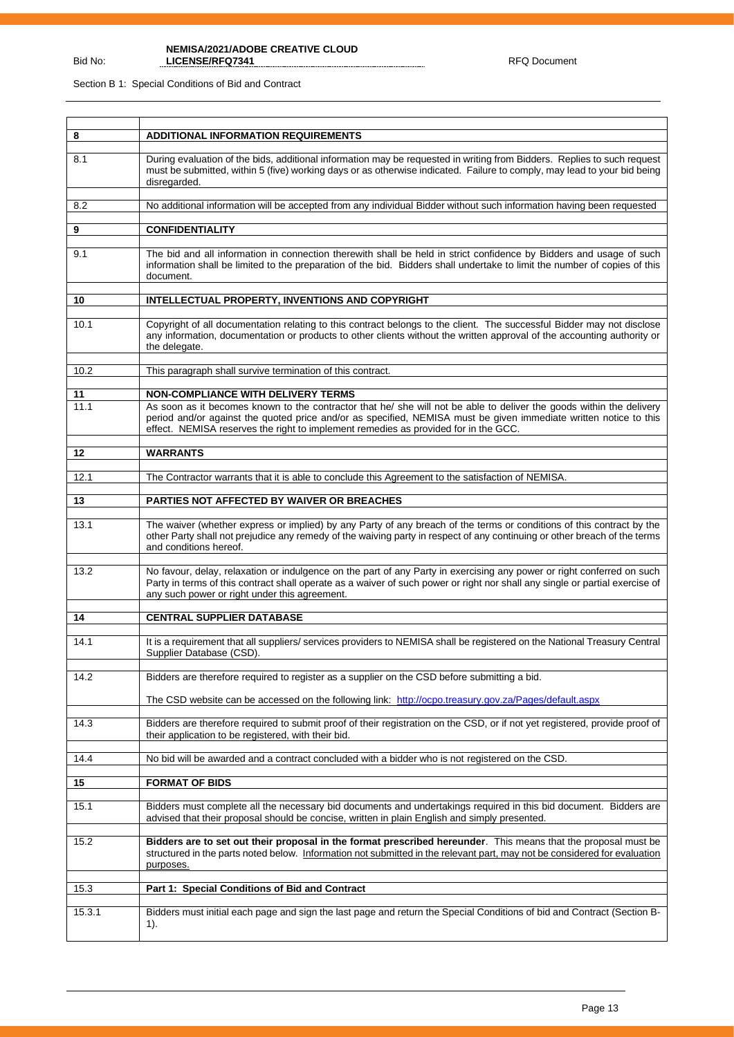Section B 1: Special Conditions of Bid and Contract

Bid No:

| 8          | <b>ADDITIONAL INFORMATION REQUIREMENTS</b>                                                                                                                                                                                                                                                                                                                             |
|------------|------------------------------------------------------------------------------------------------------------------------------------------------------------------------------------------------------------------------------------------------------------------------------------------------------------------------------------------------------------------------|
| 8.1        | During evaluation of the bids, additional information may be requested in writing from Bidders. Replies to such request<br>must be submitted, within 5 (five) working days or as otherwise indicated. Failure to comply, may lead to your bid being<br>disregarded.                                                                                                    |
| 8.2        | No additional information will be accepted from any individual Bidder without such information having been requested                                                                                                                                                                                                                                                   |
|            |                                                                                                                                                                                                                                                                                                                                                                        |
| 9          | <b>CONFIDENTIALITY</b>                                                                                                                                                                                                                                                                                                                                                 |
| 9.1        | The bid and all information in connection therewith shall be held in strict confidence by Bidders and usage of such<br>information shall be limited to the preparation of the bid. Bidders shall undertake to limit the number of copies of this<br>document.                                                                                                          |
| 10         | INTELLECTUAL PROPERTY, INVENTIONS AND COPYRIGHT                                                                                                                                                                                                                                                                                                                        |
| 10.1       | Copyright of all documentation relating to this contract belongs to the client. The successful Bidder may not disclose<br>any information, documentation or products to other clients without the written approval of the accounting authority or<br>the delegate.                                                                                                     |
| 10.2       | This paragraph shall survive termination of this contract.                                                                                                                                                                                                                                                                                                             |
|            |                                                                                                                                                                                                                                                                                                                                                                        |
| 11<br>11.1 | NON-COMPLIANCE WITH DELIVERY TERMS<br>As soon as it becomes known to the contractor that he/ she will not be able to deliver the goods within the delivery<br>period and/or against the quoted price and/or as specified, NEMISA must be given immediate written notice to this<br>effect. NEMISA reserves the right to implement remedies as provided for in the GCC. |
| $12 \,$    | <b>WARRANTS</b>                                                                                                                                                                                                                                                                                                                                                        |
| 12.1       | The Contractor warrants that it is able to conclude this Agreement to the satisfaction of NEMISA.                                                                                                                                                                                                                                                                      |
| 13         | PARTIES NOT AFFECTED BY WAIVER OR BREACHES                                                                                                                                                                                                                                                                                                                             |
| 13.1       | The waiver (whether express or implied) by any Party of any breach of the terms or conditions of this contract by the<br>other Party shall not prejudice any remedy of the waiving party in respect of any continuing or other breach of the terms<br>and conditions hereof.                                                                                           |
| 13.2       | No favour, delay, relaxation or indulgence on the part of any Party in exercising any power or right conferred on such<br>Party in terms of this contract shall operate as a waiver of such power or right nor shall any single or partial exercise of<br>any such power or right under this agreement.                                                                |
| 14         | <b>CENTRAL SUPPLIER DATABASE</b>                                                                                                                                                                                                                                                                                                                                       |
|            |                                                                                                                                                                                                                                                                                                                                                                        |
| 14.1       | It is a requirement that all suppliers/ services providers to NEMISA shall be registered on the National Treasury Central<br>Supplier Database (CSD).                                                                                                                                                                                                                  |
| 14.2       | Bidders are therefore required to register as a supplier on the CSD before submitting a bid.                                                                                                                                                                                                                                                                           |
|            | The CSD website can be accessed on the following link: http://ocpo.treasury.gov.za/Pages/default.aspx                                                                                                                                                                                                                                                                  |
| 14.3       | Bidders are therefore required to submit proof of their registration on the CSD, or if not yet registered, provide proof of<br>their application to be registered, with their bid.                                                                                                                                                                                     |
| 14.4       | No bid will be awarded and a contract concluded with a bidder who is not registered on the CSD.                                                                                                                                                                                                                                                                        |
| 15         | <b>FORMAT OF BIDS</b>                                                                                                                                                                                                                                                                                                                                                  |
| 15.1       | Bidders must complete all the necessary bid documents and undertakings required in this bid document. Bidders are<br>advised that their proposal should be concise, written in plain English and simply presented.                                                                                                                                                     |
| 15.2       | Bidders are to set out their proposal in the format prescribed hereunder. This means that the proposal must be<br>structured in the parts noted below. Information not submitted in the relevant part, may not be considered for evaluation<br>purposes.                                                                                                               |
| 15.3       | Part 1: Special Conditions of Bid and Contract                                                                                                                                                                                                                                                                                                                         |
| 15.3.1     | Bidders must initial each page and sign the last page and return the Special Conditions of bid and Contract (Section B-<br>1).                                                                                                                                                                                                                                         |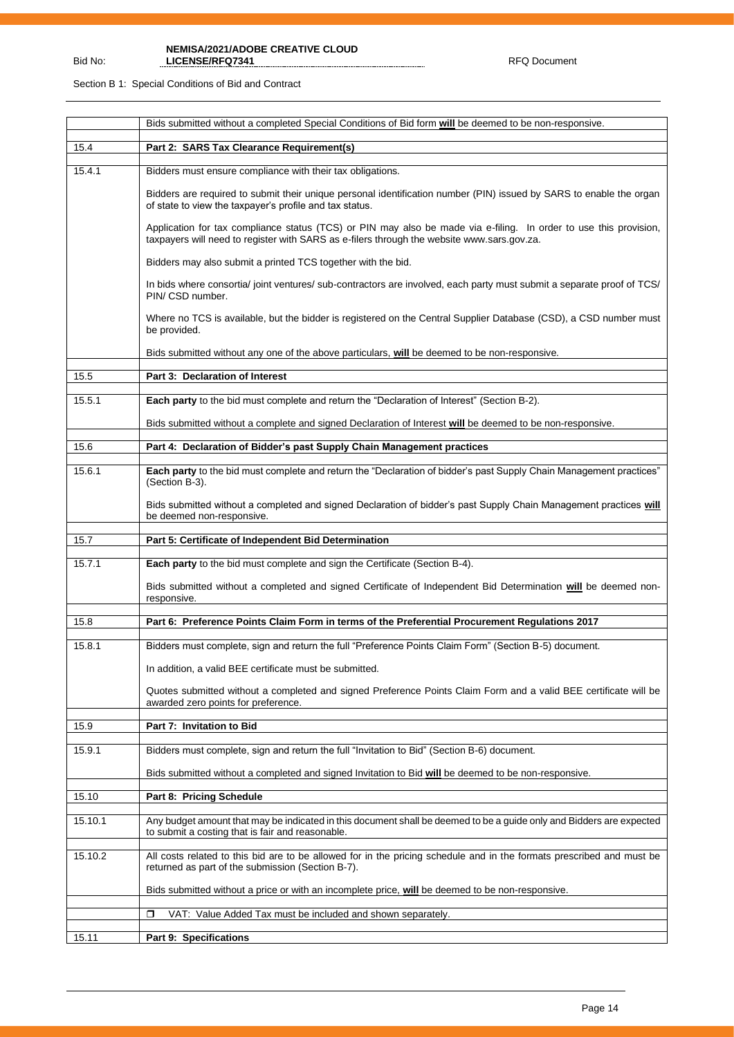Section B 1: Special Conditions of Bid and Contract

Bid No:

|         | Bids submitted without a completed Special Conditions of Bid form will be deemed to be non-responsive.                                                                                                          |
|---------|-----------------------------------------------------------------------------------------------------------------------------------------------------------------------------------------------------------------|
| 15.4    | Part 2: SARS Tax Clearance Requirement(s)                                                                                                                                                                       |
| 15.4.1  | Bidders must ensure compliance with their tax obligations.                                                                                                                                                      |
|         | Bidders are required to submit their unique personal identification number (PIN) issued by SARS to enable the organ<br>of state to view the taxpayer's profile and tax status.                                  |
|         | Application for tax compliance status (TCS) or PIN may also be made via e-filing. In order to use this provision,<br>taxpayers will need to register with SARS as e-filers through the website www.sars.gov.za. |
|         | Bidders may also submit a printed TCS together with the bid.                                                                                                                                                    |
|         | In bids where consortia/ joint ventures/ sub-contractors are involved, each party must submit a separate proof of TCS/<br>PIN/CSD number.                                                                       |
|         | Where no TCS is available, but the bidder is registered on the Central Supplier Database (CSD), a CSD number must<br>be provided.                                                                               |
|         | Bids submitted without any one of the above particulars, will be deemed to be non-responsive.                                                                                                                   |
| 15.5    | Part 3: Declaration of Interest                                                                                                                                                                                 |
| 15.5.1  | Each party to the bid must complete and return the "Declaration of Interest" (Section B-2).                                                                                                                     |
|         | Bids submitted without a complete and signed Declaration of Interest will be deemed to be non-responsive.                                                                                                       |
| 15.6    | Part 4: Declaration of Bidder's past Supply Chain Management practices                                                                                                                                          |
| 15.6.1  | Each party to the bid must complete and return the "Declaration of bidder's past Supply Chain Management practices"                                                                                             |
|         | (Section B-3).                                                                                                                                                                                                  |
|         | Bids submitted without a completed and signed Declaration of bidder's past Supply Chain Management practices will<br>be deemed non-responsive.                                                                  |
|         |                                                                                                                                                                                                                 |
| 15.7    | Part 5: Certificate of Independent Bid Determination                                                                                                                                                            |
| 15.7.1  | Each party to the bid must complete and sign the Certificate (Section B-4).                                                                                                                                     |
|         | Bids submitted without a completed and signed Certificate of Independent Bid Determination will be deemed non-<br>responsive.                                                                                   |
|         |                                                                                                                                                                                                                 |
| 15.8    | Part 6: Preference Points Claim Form in terms of the Preferential Procurement Regulations 2017                                                                                                                  |
| 15.8.1  | Bidders must complete, sign and return the full "Preference Points Claim Form" (Section B-5) document.                                                                                                          |
|         | In addition, a valid BEE certificate must be submitted.                                                                                                                                                         |
|         | Quotes submitted without a completed and signed Preference Points Claim Form and a valid BEE certificate will be<br>awarded zero points for preference.                                                         |
| 15.9    | Part 7: Invitation to Bid                                                                                                                                                                                       |
| 15.9.1  | Bidders must complete, sign and return the full "Invitation to Bid" (Section B-6) document.                                                                                                                     |
|         | Bids submitted without a completed and signed Invitation to Bid <b>will</b> be deemed to be non-responsive.                                                                                                     |
| 15.10   | Part 8: Pricing Schedule                                                                                                                                                                                        |
| 15.10.1 | Any budget amount that may be indicated in this document shall be deemed to be a guide only and Bidders are expected<br>to submit a costing that is fair and reasonable.                                        |
| 15.10.2 | All costs related to this bid are to be allowed for in the pricing schedule and in the formats prescribed and must be<br>returned as part of the submission (Section B-7).                                      |
|         | Bids submitted without a price or with an incomplete price, will be deemed to be non-responsive.                                                                                                                |
|         | σ<br>VAT: Value Added Tax must be included and shown separately.                                                                                                                                                |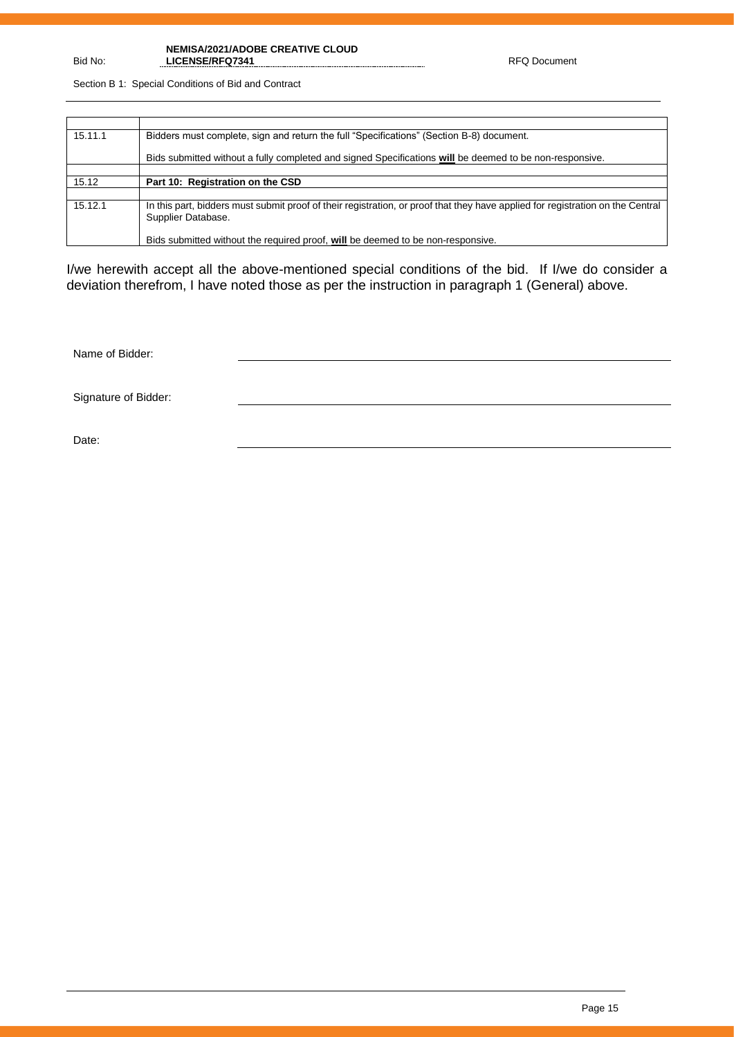Section B 1: Special Conditions of Bid and Contract

| 15.11.1 | Bidders must complete, sign and return the full "Specifications" (Section B-8) document.                                                             |
|---------|------------------------------------------------------------------------------------------------------------------------------------------------------|
|         | Bids submitted without a fully completed and signed Specifications will be deemed to be non-responsive.                                              |
|         |                                                                                                                                                      |
| 15.12   | Part 10: Registration on the CSD                                                                                                                     |
|         |                                                                                                                                                      |
| 15.12.1 | In this part, bidders must submit proof of their registration, or proof that they have applied for registration on the Central<br>Supplier Database. |
|         | Bids submitted without the required proof, will be deemed to be non-responsive.                                                                      |

I/we herewith accept all the above-mentioned special conditions of the bid. If I/we do consider a deviation therefrom, I have noted those as per the instruction in paragraph 1 (General) above.

Name of Bidder:

Signature of Bidder:

Date:

Bid No: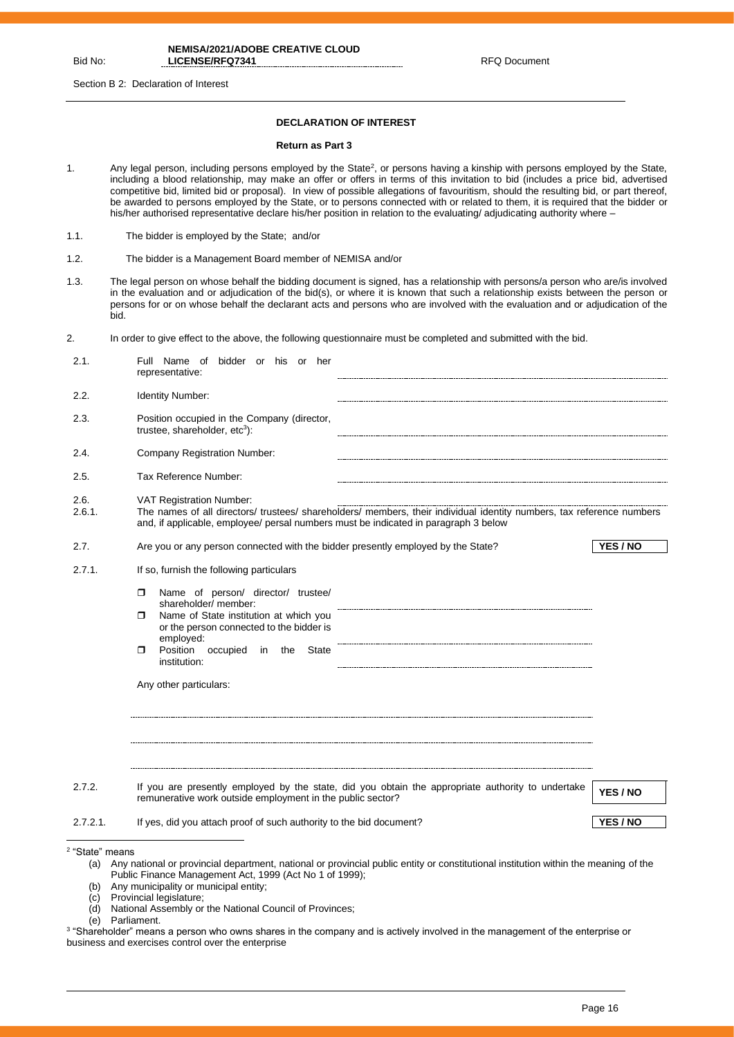Section B 2: Declaration of Interest

#### **DECLARATION OF INTEREST**

#### **Return as Part 3**

- 1. Any legal person, including persons employed by the State<sup>2</sup>, or persons having a kinship with persons employed by the State, including a blood relationship, may make an offer or offers in terms of this invitation to bid (includes a price bid, advertised competitive bid, limited bid or proposal). In view of possible allegations of favouritism, should the resulting bid, or part thereof, be awarded to persons employed by the State, or to persons connected with or related to them, it is required that the bidder or his/her authorised representative declare his/her position in relation to the evaluating/ adjudicating authority where –
- 1.1. The bidder is employed by the State; and/or
- 1.2. The bidder is a Management Board member of NEMISA and/or
- 1.3. The legal person on whose behalf the bidding document is signed, has a relationship with persons/a person who are/is involved in the evaluation and or adjudication of the bid(s), or where it is known that such a relationship exists between the person or persons for or on whose behalf the declarant acts and persons who are involved with the evaluation and or adjudication of the bid.
- 2. In order to give effect to the above, the following questionnaire must be completed and submitted with the bid.

| 2.1.                       | Full Name of bidder or his or her<br>representative:                                                                                                                                                                                                                         |          |
|----------------------------|------------------------------------------------------------------------------------------------------------------------------------------------------------------------------------------------------------------------------------------------------------------------------|----------|
| 2.2.                       | Identity Number:                                                                                                                                                                                                                                                             |          |
| 2.3.                       | Position occupied in the Company (director,<br>trustee, shareholder, etc <sup>3</sup> ):                                                                                                                                                                                     |          |
| 2.4.                       | Company Registration Number:                                                                                                                                                                                                                                                 |          |
| 2.5.                       | Tax Reference Number:                                                                                                                                                                                                                                                        |          |
| 2.6.<br>2.6.1.             | <b>VAT Registration Number:</b><br>The names of all directors/ trustees/ shareholders/ members, their individual identity numbers, tax reference numbers<br>and, if applicable, employee/ persal numbers must be indicated in paragraph 3 below                              |          |
| 2.7.                       | Are you or any person connected with the bidder presently employed by the State?                                                                                                                                                                                             | YES / NO |
| 2.7.1.                     | If so, furnish the following particulars                                                                                                                                                                                                                                     |          |
|                            | Name of person/ director/ trustee/<br>$\Box$<br>shareholder/ member:<br>Name of State institution at which you<br>п.<br>or the person connected to the bidder is<br>employed:<br>Position occupied<br>in<br>the<br>State<br>$\Box$<br>institution:<br>Any other particulars: |          |
| 2.7.2.                     | If you are presently employed by the state, did you obtain the appropriate authority to undertake<br>remunerative work outside employment in the public sector?                                                                                                              | YES / NO |
| $2.7.2.1$ .                | If yes, did you attach proof of such authority to the bid document?                                                                                                                                                                                                          | YES / NO |
| <sup>2</sup> "State" means |                                                                                                                                                                                                                                                                              |          |

- (a) Any national or provincial department, national or provincial public entity or constitutional institution within the meaning of the Public Finance Management Act, 1999 (Act No 1 of 1999);
- (b) Any municipality or municipal entity;
- (c) Provincial legislature;
- National Assembly or the National Council of Provinces;
- (e) Parliament.
- 3 "Shareholder" means a person who owns shares in the company and is actively involved in the management of the enterprise or business and exercises control over the enterprise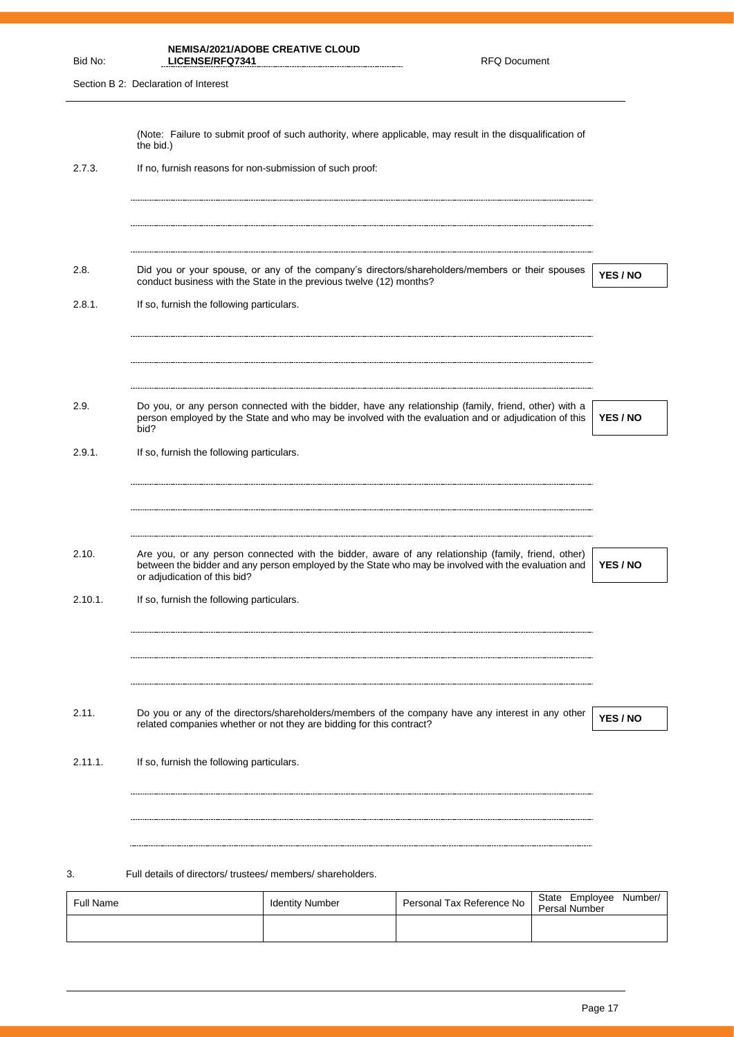| Bid No:          | LICENSE/RFQ7341                                          | <b>NEMISA/2021/ADOBE CREATIVE CLOUD</b>                              | <b>RFQ Document</b>                                                                                                                                                                                           |                                        |          |
|------------------|----------------------------------------------------------|----------------------------------------------------------------------|---------------------------------------------------------------------------------------------------------------------------------------------------------------------------------------------------------------|----------------------------------------|----------|
|                  | Section B 2: Declaration of Interest                     |                                                                      |                                                                                                                                                                                                               |                                        |          |
|                  | the bid.)                                                |                                                                      | (Note: Failure to submit proof of such authority, where applicable, may result in the disqualification of                                                                                                     |                                        |          |
| 2.7.3.           | If no, furnish reasons for non-submission of such proof: |                                                                      |                                                                                                                                                                                                               |                                        |          |
| 2.8.             |                                                          | conduct business with the State in the previous twelve (12) months?  | Did you or your spouse, or any of the company's directors/shareholders/members or their spouses                                                                                                               |                                        | YES / NO |
| 2.8.1.           | If so, furnish the following particulars.                |                                                                      |                                                                                                                                                                                                               |                                        |          |
| 2.9.             | bid?                                                     |                                                                      | Do you, or any person connected with the bidder, have any relationship (family, friend, other) with a<br>person employed by the State and who may be involved with the evaluation and or adjudication of this |                                        | YES / NO |
| 2.9.1.           | If so, furnish the following particulars.                |                                                                      |                                                                                                                                                                                                               |                                        |          |
| 2.10.            | or adjudication of this bid?                             |                                                                      | Are you, or any person connected with the bidder, aware of any relationship (family, friend, other)<br>between the bidder and any person employed by the State who may be involved with the evaluation and    |                                        | YES / NO |
| 2.10.1.          | If so, furnish the following particulars.                |                                                                      |                                                                                                                                                                                                               |                                        |          |
| 2.11.            |                                                          | related companies whether or not they are bidding for this contract? | Do you or any of the directors/shareholders/members of the company have any interest in any other                                                                                                             |                                        | YES / NO |
| 2.11.1.          | If so, furnish the following particulars.                |                                                                      |                                                                                                                                                                                                               |                                        |          |
| 3.               | Full details of directors/trustees/members/shareholders. |                                                                      |                                                                                                                                                                                                               |                                        |          |
| <b>Full Name</b> |                                                          | <b>Identity Number</b>                                               | Personal Tax Reference No                                                                                                                                                                                     | State Employee<br><b>Persal Number</b> | Number/  |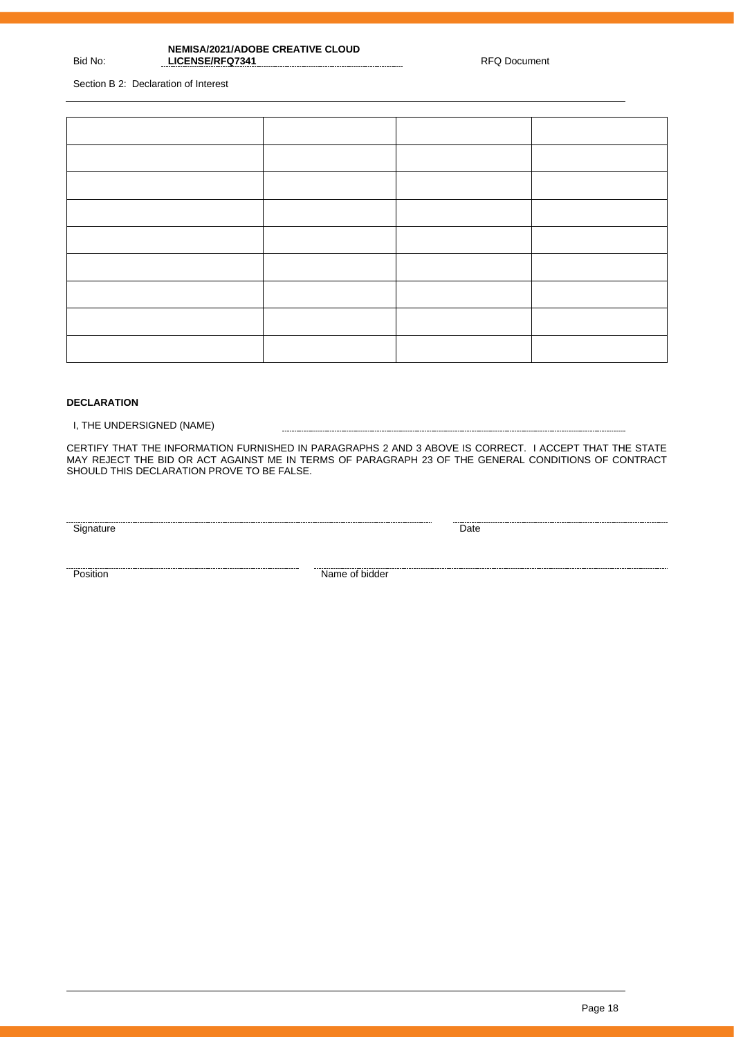Section B 2: Declaration of Interest

Bid No:

## **DECLARATION**

I, THE UNDERSIGNED (NAME)

CERTIFY THAT THE INFORMATION FURNISHED IN PARAGRAPHS 2 AND 3 ABOVE IS CORRECT. I ACCEPT THAT THE STATE MAY REJECT THE BID OR ACT AGAINST ME IN TERMS OF PARAGRAPH 23 OF THE GENERAL CONDITIONS OF CONTRACT SHOULD THIS DECLARATION PROVE TO BE FALSE.

<u>Signature Date</u>

<u>Position</u><br>Position **Name of bidder**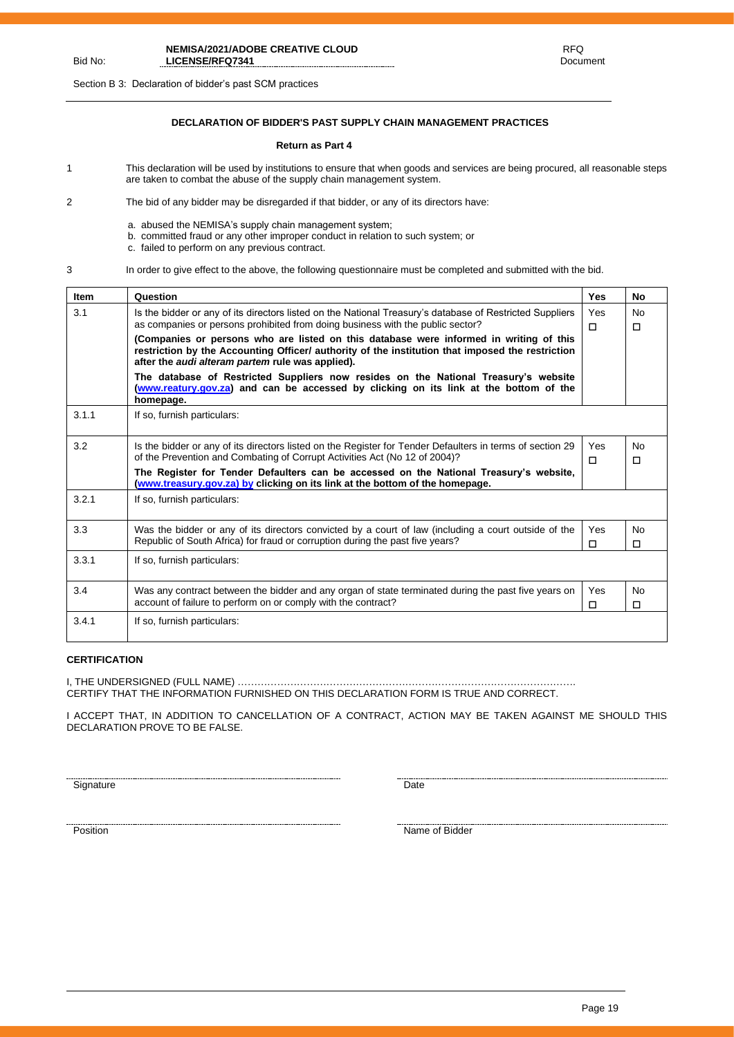Section B 3: Declaration of bidder's past SCM practices

## **DECLARATION OF BIDDER'S PAST SUPPLY CHAIN MANAGEMENT PRACTICES**

#### **Return as Part 4**

- 1 This declaration will be used by institutions to ensure that when goods and services are being procured, all reasonable steps are taken to combat the abuse of the supply chain management system.
- 2 The bid of any bidder may be disregarded if that bidder, or any of its directors have:
	- a. abused the NEMISA's supply chain management system;
	- b. committed fraud or any other improper conduct in relation to such system; or
	- c. failed to perform on any previous contract.
- 

Bid No:

3 In order to give effect to the above, the following questionnaire must be completed and submitted with the bid.

| <b>Item</b> | Question                                                                                                                                                                                                                                              | Yes           | No                  |
|-------------|-------------------------------------------------------------------------------------------------------------------------------------------------------------------------------------------------------------------------------------------------------|---------------|---------------------|
| 3.1         | Is the bidder or any of its directors listed on the National Treasury's database of Restricted Suppliers<br>as companies or persons prohibited from doing business with the public sector?                                                            | Yes<br>$\Box$ | <b>No</b><br>□      |
|             | (Companies or persons who are listed on this database were informed in writing of this<br>restriction by the Accounting Officer/ authority of the institution that imposed the restriction<br>after the <i>audi alteram partem</i> rule was applied). |               |                     |
|             | The database of Restricted Suppliers now resides on the National Treasury's website<br>(www.reatury.gov.za) and can be accessed by clicking on its link at the bottom of the<br>homepage.                                                             |               |                     |
| 3.1.1       | If so, furnish particulars:                                                                                                                                                                                                                           |               |                     |
| 3.2         | Is the bidder or any of its directors listed on the Register for Tender Defaulters in terms of section 29<br>of the Prevention and Combating of Corrupt Activities Act (No 12 of 2004)?                                                               | Yes<br>п      | <b>No</b><br>□      |
|             | The Register for Tender Defaulters can be accessed on the National Treasury's website,<br>(www.treasury.gov.za) by clicking on its link at the bottom of the homepage.                                                                                |               |                     |
| 3.2.1       | If so, furnish particulars:                                                                                                                                                                                                                           |               |                     |
| 3.3         | Was the bidder or any of its directors convicted by a court of law (including a court outside of the<br>Republic of South Africa) for fraud or corruption during the past five years?                                                                 | Yes<br>п      | <b>No</b><br>п      |
| 3.3.1       | If so, furnish particulars:                                                                                                                                                                                                                           |               |                     |
| 3.4         | Was any contract between the bidder and any organ of state terminated during the past five years on<br>account of failure to perform on or comply with the contract?                                                                                  | Yes<br>□      | <b>No</b><br>$\Box$ |
| 3.4.1       | If so, furnish particulars:                                                                                                                                                                                                                           |               |                     |

## **CERTIFICATION**

I, THE UNDERSIGNED (FULL NAME) …………………………………………………………………………………………. CERTIFY THAT THE INFORMATION FURNISHED ON THIS DECLARATION FORM IS TRUE AND CORRECT.

I ACCEPT THAT, IN ADDITION TO CANCELLATION OF A CONTRACT, ACTION MAY BE TAKEN AGAINST ME SHOULD THIS DECLARATION PROVE TO BE FALSE.

Signature Date

name of Bidder Name of Bidder Name of Bidder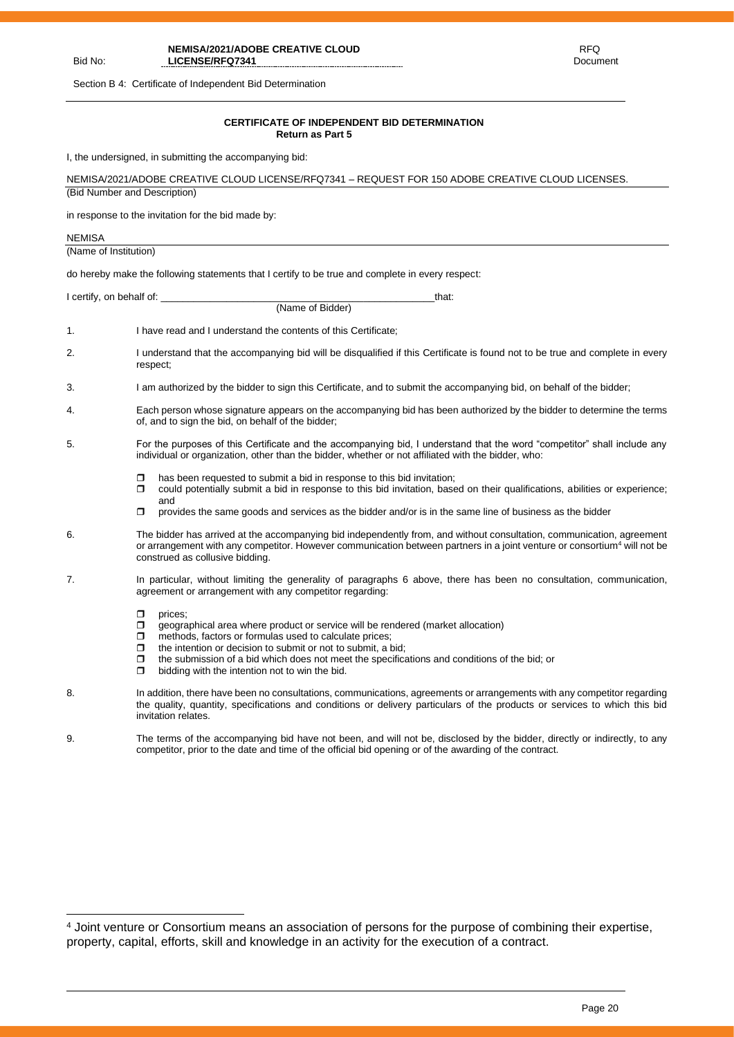Section B 4: Certificate of Independent Bid Determination

Bid No:

#### **CERTIFICATE OF INDEPENDENT BID DETERMINATION Return as Part 5**

I, the undersigned, in submitting the accompanying bid:

|                              | i, the undersigned, in submitting the accompanying bid.                                                                                                                                                                                                                                                                                                                                             |
|------------------------------|-----------------------------------------------------------------------------------------------------------------------------------------------------------------------------------------------------------------------------------------------------------------------------------------------------------------------------------------------------------------------------------------------------|
|                              | NEMISA/2021/ADOBE CREATIVE CLOUD LICENSE/RFQ7341 - REQUEST FOR 150 ADOBE CREATIVE CLOUD LICENSES.                                                                                                                                                                                                                                                                                                   |
| (Bid Number and Description) |                                                                                                                                                                                                                                                                                                                                                                                                     |
|                              | in response to the invitation for the bid made by:                                                                                                                                                                                                                                                                                                                                                  |
| <b>NEMISA</b>                |                                                                                                                                                                                                                                                                                                                                                                                                     |
| (Name of Institution)        |                                                                                                                                                                                                                                                                                                                                                                                                     |
|                              | do hereby make the following statements that I certify to be true and complete in every respect:                                                                                                                                                                                                                                                                                                    |
|                              | I certify, on behalf of:<br>that:                                                                                                                                                                                                                                                                                                                                                                   |
|                              | (Name of Bidder)                                                                                                                                                                                                                                                                                                                                                                                    |
| 1.                           | I have read and I understand the contents of this Certificate;                                                                                                                                                                                                                                                                                                                                      |
| 2.                           | I understand that the accompanying bid will be disqualified if this Certificate is found not to be true and complete in every<br>respect;                                                                                                                                                                                                                                                           |
| 3.                           | I am authorized by the bidder to sign this Certificate, and to submit the accompanying bid, on behalf of the bidder;                                                                                                                                                                                                                                                                                |
| 4.                           | Each person whose signature appears on the accompanying bid has been authorized by the bidder to determine the terms<br>of, and to sign the bid, on behalf of the bidder;                                                                                                                                                                                                                           |
| 5.                           | For the purposes of this Certificate and the accompanying bid, I understand that the word "competitor" shall include any<br>individual or organization, other than the bidder, whether or not affiliated with the bidder, who:                                                                                                                                                                      |
|                              | has been requested to submit a bid in response to this bid invitation;<br>0<br>could potentially submit a bid in response to this bid invitation, based on their qualifications, abilities or experience;<br>Π.<br>and                                                                                                                                                                              |
|                              | σ<br>provides the same goods and services as the bidder and/or is in the same line of business as the bidder                                                                                                                                                                                                                                                                                        |
| 6.                           | The bidder has arrived at the accompanying bid independently from, and without consultation, communication, agreement<br>or arrangement with any competitor. However communication between partners in a joint venture or consortium <sup>4</sup> will not be<br>construed as collusive bidding.                                                                                                    |
| 7.                           | In particular, without limiting the generality of paragraphs 6 above, there has been no consultation, communication,<br>agreement or arrangement with any competitor regarding:                                                                                                                                                                                                                     |
|                              | prices;<br>ο.<br>geographical area where product or service will be rendered (market allocation)<br>methods, factors or formulas used to calculate prices;<br>Π.<br>the intention or decision to submit or not to submit, a bid;<br>ο.<br>the submission of a bid which does not meet the specifications and conditions of the bid; or<br>σ<br>bidding with the intention not to win the bid.<br>α. |
| 8.                           | In addition, there have been no consultations, communications, agreements or arrangements with any competitor regarding<br>the quality, quantity, specifications and conditions or delivery particulars of the products or services to which this bid<br>invitation relates.                                                                                                                        |
| 9.                           | The terms of the accompanying bid have not been, and will not be, disclosed by the bidder, directly or indirectly, to any<br>competitor, prior to the date and time of the official bid opening or of the awarding of the contract.                                                                                                                                                                 |
|                              |                                                                                                                                                                                                                                                                                                                                                                                                     |

<sup>&</sup>lt;sup>4</sup> Joint venture or Consortium means an association of persons for the purpose of combining their expertise, property, capital, efforts, skill and knowledge in an activity for the execution of a contract.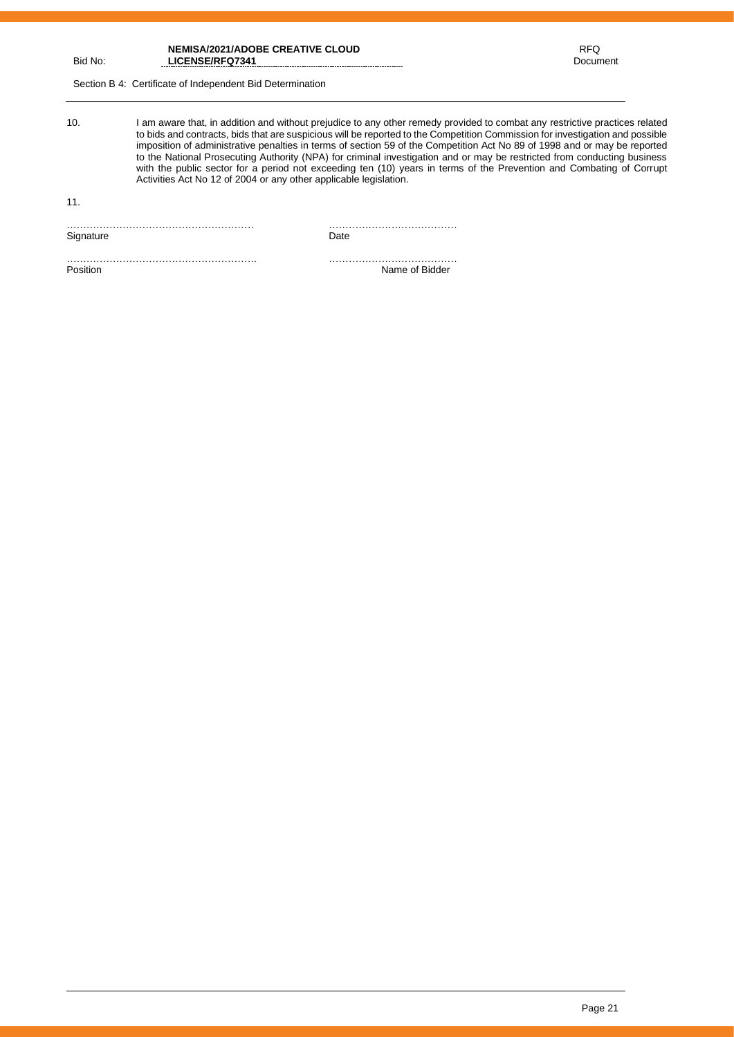**RFQ** in the contract of the contract of the RFQ Document

Section B 4: Certificate of Independent Bid Determination

10. I am aware that, in addition and without prejudice to any other remedy provided to combat any restrictive practices related to bids and contracts, bids that are suspicious will be reported to the Competition Commission for investigation and possible imposition of administrative penalties in terms of section 59 of the Competition Act No 89 of 1998 and or may be reported to the National Prosecuting Authority (NPA) for criminal investigation and or may be restricted from conducting business with the public sector for a period not exceeding ten (10) years in terms of the Prevention and Combating of Corrupt Activities Act No 12 of 2004 or any other applicable legislation.

11.

………………………………………………… ………………………………… Signature Date

…………………………………………………. …………………………………

Name of Bidder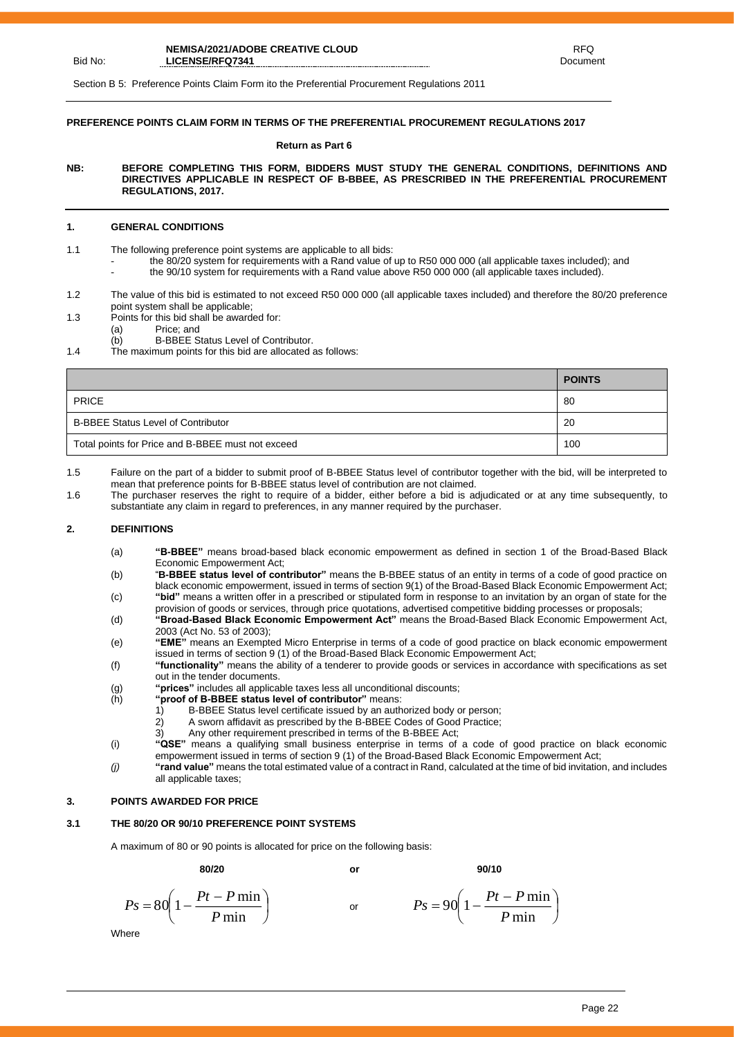Bid No:

Section B 5: Preference Points Claim Form ito the Preferential Procurement Regulations 2011

### **PREFERENCE POINTS CLAIM FORM IN TERMS OF THE PREFERENTIAL PROCUREMENT REGULATIONS 2017**

#### **Return as Part 6**

**NB: BEFORE COMPLETING THIS FORM, BIDDERS MUST STUDY THE GENERAL CONDITIONS, DEFINITIONS AND DIRECTIVES APPLICABLE IN RESPECT OF B-BBEE, AS PRESCRIBED IN THE PREFERENTIAL PROCUREMENT REGULATIONS, 2017.** 

#### **1. GENERAL CONDITIONS**

- 1.1 The following preference point systems are applicable to all bids:
	- the 80/20 system for requirements with a Rand value of up to R50 000 000 (all applicable taxes included); and
	- the 90/10 system for requirements with a Rand value above R50 000 000 (all applicable taxes included).
- 1.2 The value of this bid is estimated to not exceed R50 000 000 (all applicable taxes included) and therefore the 80/20 preference point system shall be applicable;
- 1.3 Points for this bid shall be awarded for:
	- (a) Price; and
	- (b) B-BBEE Status Level of Contributor.
- 1.4 The maximum points for this bid are allocated as follows:

|                                                   | <b>POINTS</b> |
|---------------------------------------------------|---------------|
| <b>PRICE</b>                                      | -80           |
| <b>B-BBEE Status Level of Contributor</b>         | 20            |
| Total points for Price and B-BBEE must not exceed | 100           |

1.5 Failure on the part of a bidder to submit proof of B-BBEE Status level of contributor together with the bid, will be interpreted to mean that preference points for B-BBEE status level of contribution are not claimed.

1.6 The purchaser reserves the right to require of a bidder, either before a bid is adjudicated or at any time subsequently, to substantiate any claim in regard to preferences, in any manner required by the purchaser.

#### **2. DEFINITIONS**

- (a) **"B-BBEE"** means broad-based black economic empowerment as defined in section 1 of the Broad-Based Black Economic Empowerment Act;
- (b) "**B-BBEE status level of contributor"** means the B-BBEE status of an entity in terms of a code of good practice on black economic empowerment, issued in terms of section 9(1) of the Broad-Based Black Economic Empowerment Act; (c) **"bid"** means a written offer in a prescribed or stipulated form in response to an invitation by an organ of state for the
- provision of goods or services, through price quotations, advertised competitive bidding processes or proposals; (d) **"Broad-Based Black Economic Empowerment Act"** means the Broad-Based Black Economic Empowerment Act,
- 2003 (Act No. 53 of 2003); (e) **"EME"** means an Exempted Micro Enterprise in terms of a code of good practice on black economic empowerment
- issued in terms of section 9 (1) of the Broad-Based Black Economic Empowerment Act; (f) **"functionality"** means the ability of a tenderer to provide goods or services in accordance with specifications as set out in the tender documents.
- (g) **"prices"** includes all applicable taxes less all unconditional discounts;
- 
- (h) **"proof of B-BBEE status level of contributor"** means: B-BBEE Status level certificate issued by an authorized body or person;
	-
	- 2) A sworn affidavit as prescribed by the B-BBEE Codes of Good Practice;<br>3) Any other requirement prescribed in terms of the B-BBEE Act: Any other requirement prescribed in terms of the B-BBEE Act;
- (i) **"QSE"** means a qualifying small business enterprise in terms of a code of good practice on black economic empowerment issued in terms of section 9 (1) of the Broad-Based Black Economic Empowerment Act;
- *(j)* **"rand value"** means the total estimated value of a contract in Rand, calculated at the time of bid invitation, and includes all applicable taxes;

#### **3. POINTS AWARDED FOR PRICE**

#### **3.1 THE 80/20 OR 90/10 PREFERENCE POINT SYSTEMS**

A maximum of 80 or 90 points is allocated for price on the following basis:

**80/20 or 90/10**

$$
P_s = 80 \left( 1 - \frac{Pt - P \min}{P \min} \right) \qquad \text{or} \qquad P_s = 90 \left( 1 - \frac{Pt - P \min}{P \min} \right)
$$

**Where** 

 $\bigg)$ 

 $\left(1-\frac{Pt-P\min}{\epsilon}\right)$ 

l

 $P_s = 90 \left( 1 - \frac{Pt - P}{F} \right)$ 

 $= 90\left(1 - \frac{Pt - P \ln P}{P \ln P}\right)$  $90 \left( 1 - \frac{Pt - P \min}{\sigma} \right)$ *P*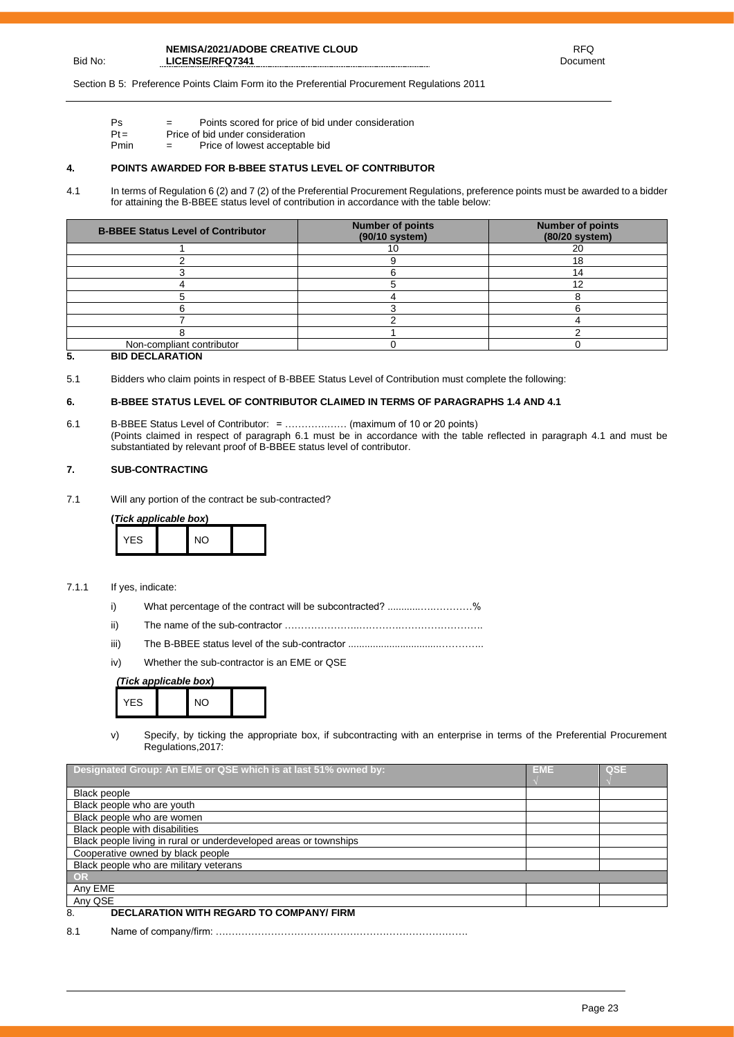Section B 5: Preference Points Claim Form ito the Preferential Procurement Regulations 2011

- Ps = Points scored for price of bid under consideration
- $Pt =$  Price of bid under consideration<br>Pmin  $=$  Price of lowest acceptable  $=$  Price of lowest acceptable bid

#### **4. POINTS AWARDED FOR B-BBEE STATUS LEVEL OF CONTRIBUTOR**

4.1 In terms of Regulation 6 (2) and 7 (2) of the Preferential Procurement Regulations, preference points must be awarded to a bidder for attaining the B-BBEE status level of contribution in accordance with the table below:

| <b>B-BBEE Status Level of Contributor</b> | <b>Number of points</b><br>$(90/10$ system) | <b>Number of points</b><br>(80/20 system) |
|-------------------------------------------|---------------------------------------------|-------------------------------------------|
|                                           |                                             | 20                                        |
|                                           |                                             | 18                                        |
|                                           |                                             |                                           |
|                                           |                                             | 10                                        |
|                                           |                                             |                                           |
|                                           |                                             |                                           |
|                                           |                                             |                                           |
|                                           |                                             |                                           |
| Non-compliant contributor                 |                                             |                                           |

### **5. BID DECLARATION**

Bid No:

5.1 Bidders who claim points in respect of B-BBEE Status Level of Contribution must complete the following:

## **6. B-BBEE STATUS LEVEL OF CONTRIBUTOR CLAIMED IN TERMS OF PARAGRAPHS 1.4 AND 4.1**

6.1 B-BBEE Status Level of Contributor: = ………….…… (maximum of 10 or 20 points) (Points claimed in respect of paragraph 6.1 must be in accordance with the table reflected in paragraph 4.1 and must be substantiated by relevant proof of B-BBEE status level of contributor.

#### **7. SUB-CONTRACTING**

7.1 Will any portion of the contract be sub-contracted?

**(***Tick applicable box***)**

| <b>YES</b> | $\mathsf{N}\mathsf{O}$ |
|------------|------------------------|
|------------|------------------------|

- 7.1.1 If yes, indicate:
	- i) What percentage of the contract will be subcontracted? ..........................%
	- ii) The name of the sub-contractor …………………..………….…………………….
	- iii) The B-BBEE status level of the sub-contractor .................................…………..
	- iv) Whether the sub-contractor is an EME or QSE

## *(Tick applicable box***)**



v) Specify, by ticking the appropriate box, if subcontracting with an enterprise in terms of the Preferential Procurement Regulations,2017:

| Designated Group: An EME or QSE which is at last 51% owned by:    | <b>EME</b> | QSE |
|-------------------------------------------------------------------|------------|-----|
| Black people                                                      |            |     |
| Black people who are youth                                        |            |     |
| Black people who are women                                        |            |     |
| Black people with disabilities                                    |            |     |
| Black people living in rural or underdeveloped areas or townships |            |     |
| Cooperative owned by black people                                 |            |     |
| Black people who are military veterans                            |            |     |
| OR                                                                |            |     |
| Anv EME                                                           |            |     |
| Any QSE                                                           |            |     |
| DECLARATION WITH REGARD TO COMPANY/FIRM<br>8                      |            |     |

## 8. **DECLARATION WITH REGARD TO COMPANY/ FIRM**

8.1 Name of company/firm: ….……………………………………………………………….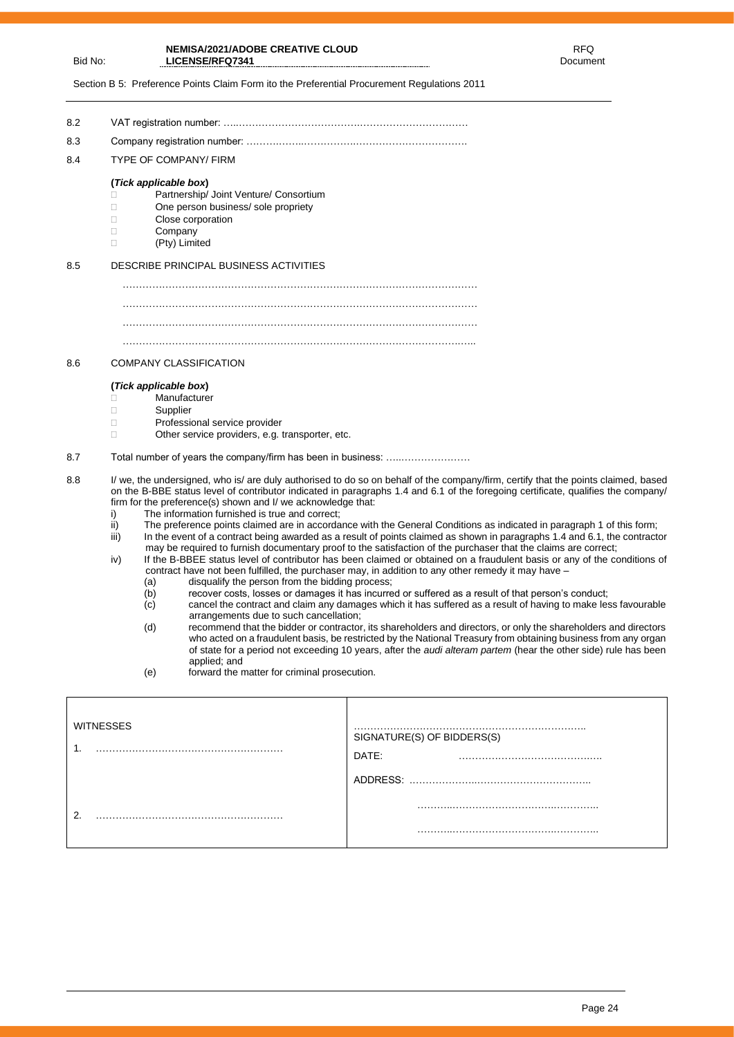Bid No:

Section B 5: Preference Points Claim Form ito the Preferential Procurement Regulations 2011

8.2 VAT registration number: …..……………………………….…………………………… 8.3 Company registration number: ……….……..…………….……………………………. 8.4 TYPE OF COMPANY/ FIRM **(***Tick applicable box***)** □ Partnership/ Joint Venture/ Consortium  $\Box$  One person business/ sole propriety Close corporation D Company (Pty) Limited 8.5 DESCRIBE PRINCIPAL BUSINESS ACTIVITIES ……………………………………………………………………………………………… ……………………………………………………………………………………………… ………………………………………………………………………………………….….. 8.6 COMPANY CLASSIFICATION **(***Tick applicable box***)** C∴nden<br>
Manufacturer<br>
Supplier Supplier Professional service provider □ Other service providers, e.g. transporter, etc. 8.7 Total number of years the company/firm has been in business: …..………………… 8.8 I/ we, the undersigned, who is/ are duly authorised to do so on behalf of the company/firm, certify that the points claimed, based on the B-BBE status level of contributor indicated in paragraphs 1.4 and 6.1 of the foregoing certificate, qualifies the company/ firm for the preference(s) shown and I/ we acknowledge that: i) The information furnished is true and correct; ii) The preference points claimed are in accordance with the General Conditions as indicated in paragraph 1 of this form;<br>iii) In the event of a contract being awarded as a result of points claimed as shown in paragraphs

- In the event of a contract being awarded as a result of points claimed as shown in paragraphs 1.4 and 6.1, the contractor may be required to furnish documentary proof to the satisfaction of the purchaser that the claims are correct;
- iv) If the B-BBEE status level of contributor has been claimed or obtained on a fraudulent basis or any of the conditions of contract have not been fulfilled, the purchaser may, in addition to any other remedy it may have -
	-
	- (a) disqualify the person from the bidding process;<br>(b) recover costs, losses or damages it has incurre  $\begin{array}{lll} \hbox{(b)} & \text{recover costs, losses or damages it has incurred or suffered as a result of that person's conduct; \\ \hbox{(c)} & \text{cancel the contract and claim any damages which it has suffered as a result of having to make les.} \end{array}$
	- cancel the contract and claim any damages which it has suffered as a result of having to make less favourable arrangements due to such cancellation;
	- (d) recommend that the bidder or contractor, its shareholders and directors, or only the shareholders and directors who acted on a fraudulent basis, be restricted by the National Treasury from obtaining business from any organ of state for a period not exceeding 10 years, after the *audi alteram partem* (hear the other side) rule has been applied; and
	- (e) forward the matter for criminal prosecution.

| ⌒ | <b>WITNESSES</b><br>۸<br>. . | SIGNATURE(S) OF BIDDERS(S)<br>DATE: |
|---|------------------------------|-------------------------------------|
|   |                              |                                     |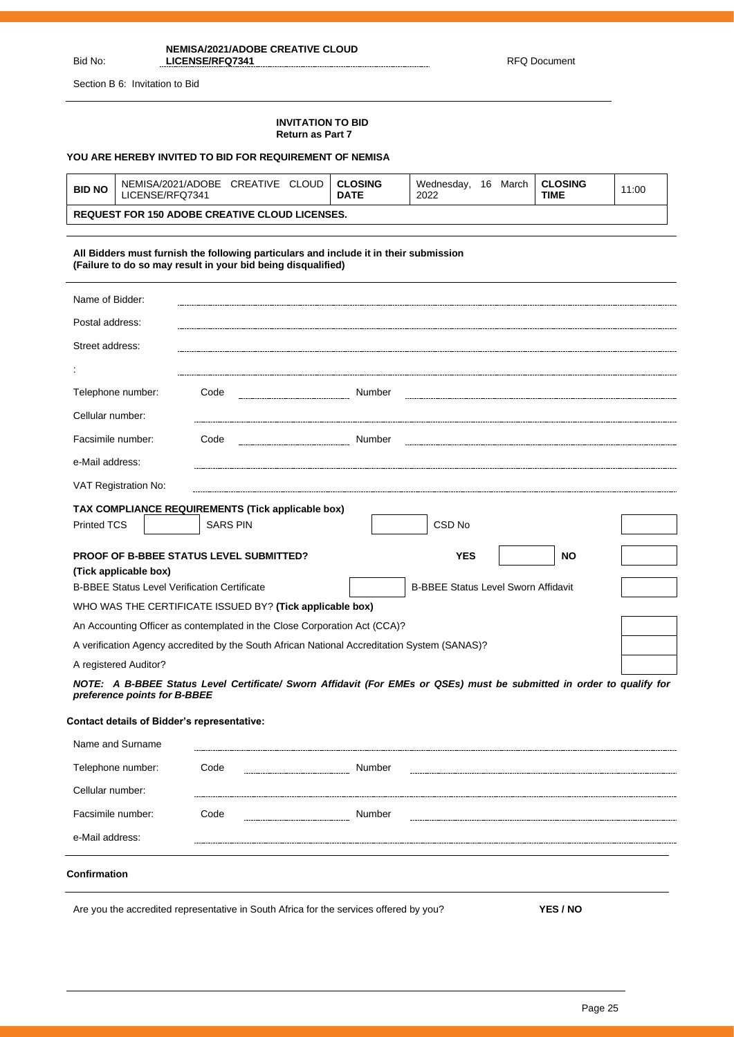## Bid No:

Ĭ.

**NEMISA/2021/ADOBE CREATIVE CLOUD LICENSE/RFQ7341** RFQ Document

Section B 6: Invitation to Bid

## **INVITATION TO BID Return as Part 7**

## **YOU ARE HEREBY INVITED TO BID FOR REQUIREMENT OF NEMISA**

| <b>BID NO</b> | NEMISA/2021/ADOBE<br><b>CLOUD</b><br>CREATIVE<br>LICENSE/RFQ7341 | CLOSING<br><b>DATE</b> | 16<br>Wednesdav.<br>March<br>2022 | <b>CLOSING</b><br><b>TIME</b> | 11:00 |
|---------------|------------------------------------------------------------------|------------------------|-----------------------------------|-------------------------------|-------|
|               | <b>REQUEST FOR 150 ADOBE CREATIVE CLOUD LICENSES.</b>            |                        |                                   |                               |       |

#### **All Bidders must furnish the following particulars and include it in their submission (Failure to do so may result in your bid being disqualified)**

| Name of Bidder:                                     |                                                                                              |                                                                                                                       |
|-----------------------------------------------------|----------------------------------------------------------------------------------------------|-----------------------------------------------------------------------------------------------------------------------|
| Postal address:                                     |                                                                                              |                                                                                                                       |
| Street address:                                     |                                                                                              |                                                                                                                       |
|                                                     |                                                                                              |                                                                                                                       |
| Telephone number:                                   | Code                                                                                         | Number                                                                                                                |
| Cellular number:                                    |                                                                                              |                                                                                                                       |
| Facsimile number:                                   | Code                                                                                         | Number                                                                                                                |
| e-Mail address:                                     |                                                                                              |                                                                                                                       |
| VAT Registration No:                                |                                                                                              |                                                                                                                       |
|                                                     | TAX COMPLIANCE REQUIREMENTS (Tick applicable box)                                            |                                                                                                                       |
| <b>Printed TCS</b>                                  | <b>SARS PIN</b>                                                                              | CSD <sub>No</sub>                                                                                                     |
| (Tick applicable box)                               | <b>PROOF OF B-BBEE STATUS LEVEL SUBMITTED?</b>                                               | <b>YES</b><br><b>NO</b>                                                                                               |
| <b>B-BBEE Status Level Verification Certificate</b> |                                                                                              | <b>B-BBEE Status Level Sworn Affidavit</b>                                                                            |
|                                                     | WHO WAS THE CERTIFICATE ISSUED BY? (Tick applicable box)                                     |                                                                                                                       |
|                                                     | An Accounting Officer as contemplated in the Close Corporation Act (CCA)?                    |                                                                                                                       |
|                                                     | A verification Agency accredited by the South African National Accreditation System (SANAS)? |                                                                                                                       |
| A registered Auditor?                               |                                                                                              |                                                                                                                       |
| preference points for B-BBEE                        |                                                                                              | NOTE: A B-BBEE Status Level Certificate/ Sworn Affidavit (For EMEs or QSEs) must be submitted in order to qualify for |
| <b>Contact details of Bidder's representative:</b>  |                                                                                              |                                                                                                                       |
| Name and Surname                                    |                                                                                              |                                                                                                                       |
| Telephone number:                                   | Code<br>------------------------------                                                       | Number                                                                                                                |
| Cellular number:                                    |                                                                                              |                                                                                                                       |
| Facsimile number:                                   | Code                                                                                         | Number                                                                                                                |
| e-Mail address:                                     |                                                                                              |                                                                                                                       |
| Confirmation                                        |                                                                                              |                                                                                                                       |

Are you the accredited representative in South Africa for the services offered by you? **YES / NO**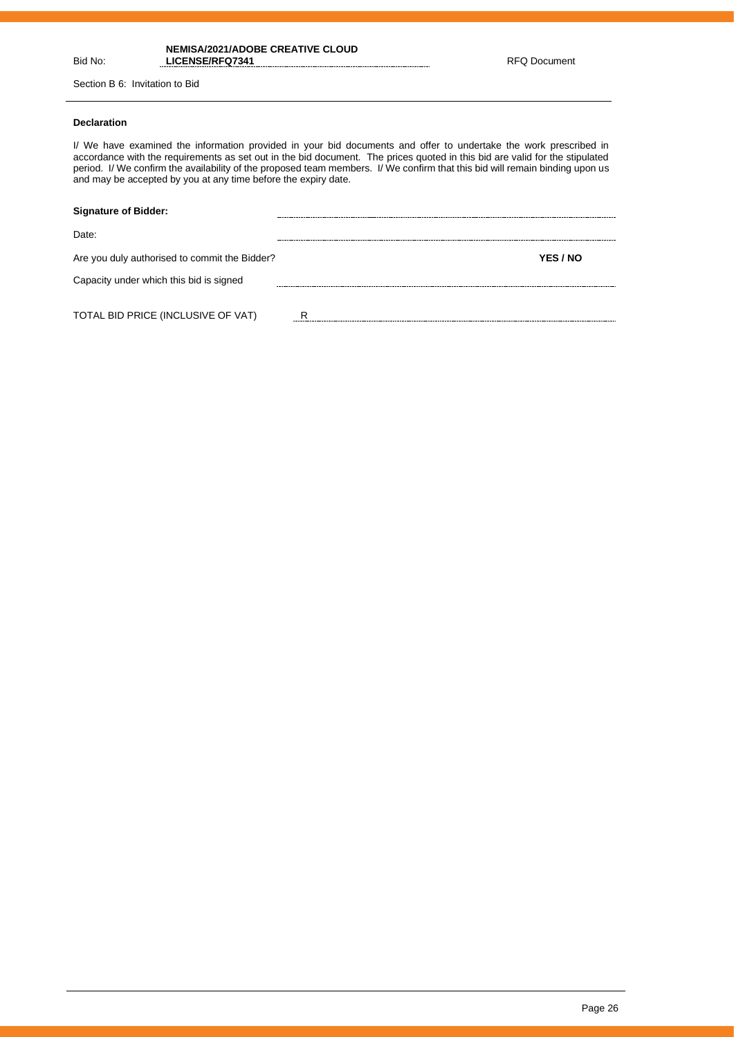# Bid No:

**NEMISA/2021/ADOBE CREATIVE CLOUD**  LICENSE/RFQ7341 RFQ Document

Section B 6: Invitation to Bid

## **Declaration**

I/ We have examined the information provided in your bid documents and offer to undertake the work prescribed in accordance with the requirements as set out in the bid document. The prices quoted in this bid are valid for the stipulated period. I/ We confirm the availability of the proposed team members. I/ We confirm that this bid will remain binding upon us and may be accepted by you at any time before the expiry date.

| <b>Signature of Bidder:</b>                   |          |  |
|-----------------------------------------------|----------|--|
| Date:                                         |          |  |
| Are you duly authorised to commit the Bidder? | YES / NO |  |
| Capacity under which this bid is signed       |          |  |
|                                               |          |  |
| TOTAL BID PRICE (INCLUSIVE OF VAT)            | R        |  |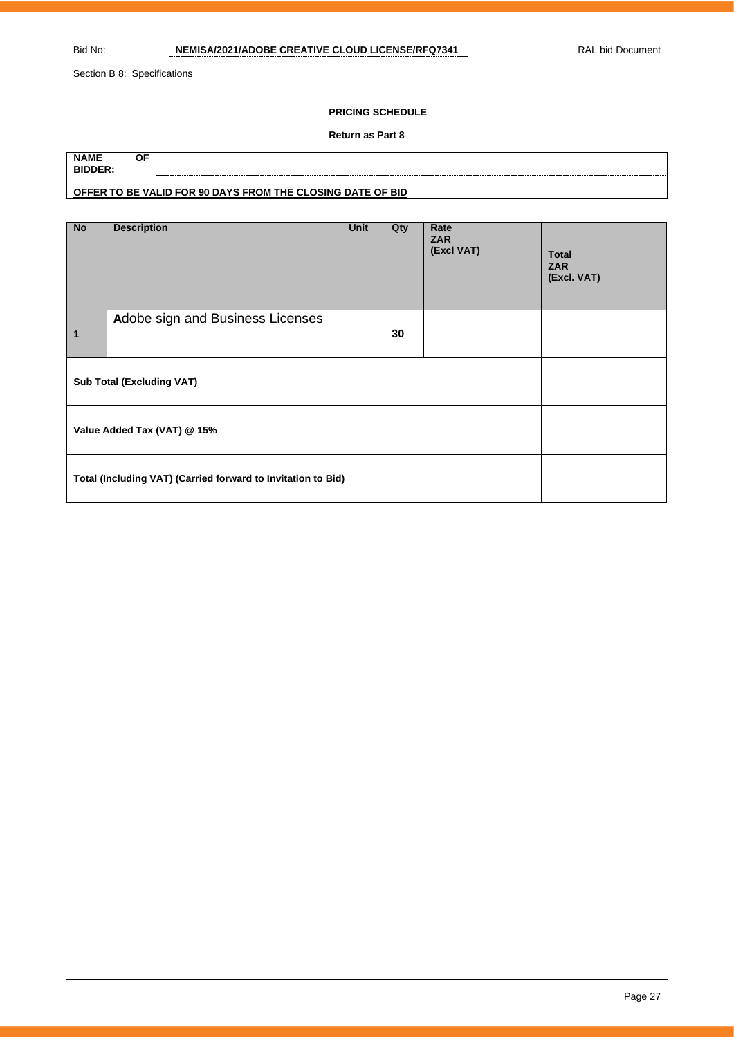Section B 8: Specifications

## **PRICING SCHEDULE**

#### **Return as Part 8**

| <b>NAME</b>    | ΟF                                                         |
|----------------|------------------------------------------------------------|
| <b>BIDDER:</b> |                                                            |
|                | OFFER TO BE VALID FOR 90 DAYS FROM THE CLOSING DATE OF BID |

| <b>No</b>                                                    | <b>Description</b>               | Unit | Qty | Rate<br><b>ZAR</b><br>(Excl VAT) | <b>Total</b><br><b>ZAR</b><br>(Excl. VAT) |
|--------------------------------------------------------------|----------------------------------|------|-----|----------------------------------|-------------------------------------------|
| $\blacksquare$                                               | Adobe sign and Business Licenses |      | 30  |                                  |                                           |
|                                                              | <b>Sub Total (Excluding VAT)</b> |      |     |                                  |                                           |
| Value Added Tax (VAT) @ 15%                                  |                                  |      |     |                                  |                                           |
| Total (Including VAT) (Carried forward to Invitation to Bid) |                                  |      |     |                                  |                                           |